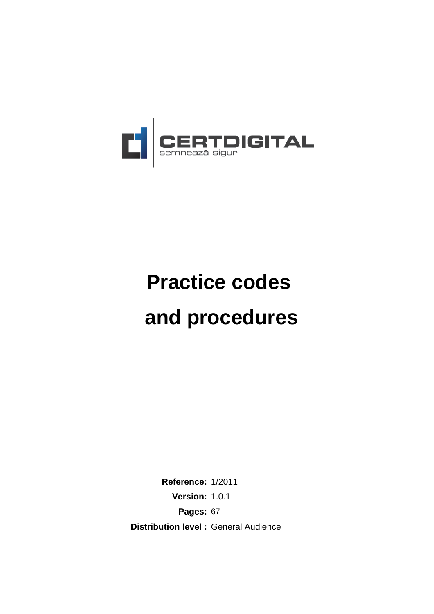

# **Practice codes and procedures**

**Reference:** 1/2011 **Version:** 1.0.1 **Pages:** 67 **Distribution level :** General Audience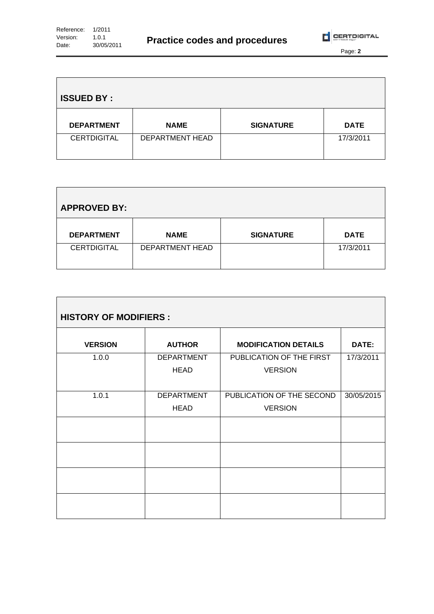30/05/2011 **Practice codes and procedures**

| <b>ISSUED BY:</b>  |                        |                  |             |
|--------------------|------------------------|------------------|-------------|
| <b>DEPARTMENT</b>  | <b>NAME</b>            | <b>SIGNATURE</b> | <b>DATE</b> |
| <b>CERTDIGITAL</b> | <b>DEPARTMENT HEAD</b> |                  | 17/3/2011   |

| <b>APPROVED BY:</b> |                 |                  |             |
|---------------------|-----------------|------------------|-------------|
| <b>DEPARTMENT</b>   | <b>NAME</b>     | <b>SIGNATURE</b> | <b>DATE</b> |
| <b>CERTDIGITAL</b>  | DEPARTMENT HEAD |                  | 17/3/2011   |

| <b>HISTORY OF MODIFIERS:</b> |                   |                             |            |
|------------------------------|-------------------|-----------------------------|------------|
| <b>VERSION</b>               | <b>AUTHOR</b>     | <b>MODIFICATION DETAILS</b> | DATE:      |
| 1.0.0                        | <b>DEPARTMENT</b> | PUBLICATION OF THE FIRST    | 17/3/2011  |
|                              | <b>HEAD</b>       | <b>VERSION</b>              |            |
| 1.0.1                        | <b>DEPARTMENT</b> | PUBLICATION OF THE SECOND   | 30/05/2015 |
|                              | <b>HEAD</b>       | <b>VERSION</b>              |            |
|                              |                   |                             |            |
|                              |                   |                             |            |
|                              |                   |                             |            |
|                              |                   |                             |            |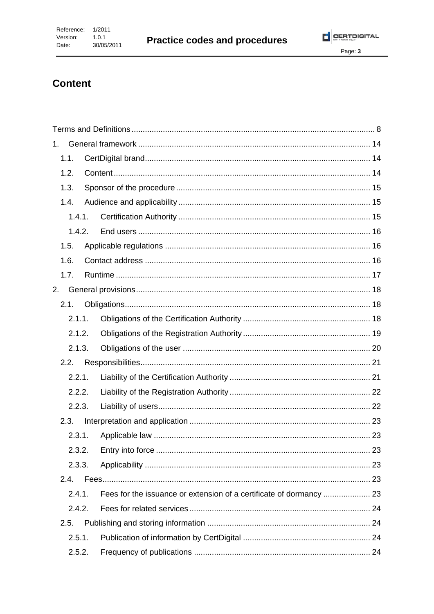## **Content**

| 1. |        |                                                                     |             |
|----|--------|---------------------------------------------------------------------|-------------|
|    | 1.1.   |                                                                     |             |
|    | 1.2.   |                                                                     |             |
|    | 1.3.   |                                                                     |             |
|    | 1.4.   |                                                                     |             |
|    | 1.4.1. |                                                                     |             |
|    | 1.4.2. |                                                                     |             |
|    | 1.5.   |                                                                     |             |
|    | 1.6.   |                                                                     |             |
|    | 1.7.   |                                                                     |             |
| 2. |        |                                                                     |             |
|    | 2.1.   |                                                                     |             |
|    | 2.1.1. |                                                                     |             |
|    | 2.1.2. |                                                                     |             |
|    | 2.1.3. |                                                                     |             |
|    | 2.2.   |                                                                     |             |
|    | 2.2.1. |                                                                     |             |
|    | 2.2.2. |                                                                     |             |
|    | 2.2.3. |                                                                     |             |
|    | 2.3.   |                                                                     |             |
|    | 2.3.1. |                                                                     |             |
|    |        |                                                                     | $\ldots$ 23 |
|    | 2.3.3. |                                                                     |             |
|    | 2.4.   |                                                                     |             |
|    | 2.4.1. | Fees for the issuance or extension of a certificate of dormancy  23 |             |
|    | 2.4.2. |                                                                     |             |
|    | 2.5.   |                                                                     |             |
|    | 2.5.1. |                                                                     |             |
|    | 2.5.2. |                                                                     |             |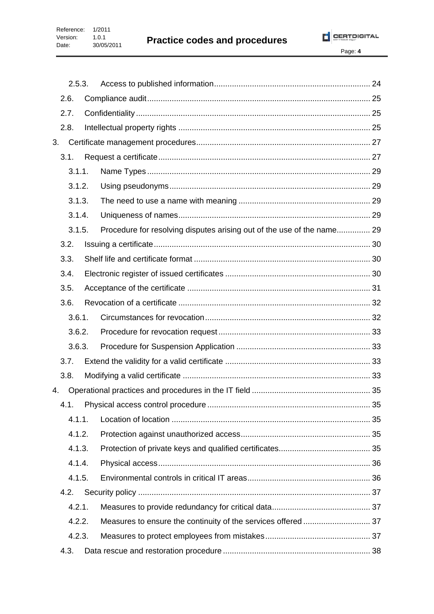|      | 2.5.3. |                                                                        |  |
|------|--------|------------------------------------------------------------------------|--|
| 2.6. |        |                                                                        |  |
| 2.7. |        |                                                                        |  |
| 2.8. |        |                                                                        |  |
| 3.   |        |                                                                        |  |
| 3.1. |        |                                                                        |  |
|      | 3.1.1. |                                                                        |  |
|      | 3.1.2. |                                                                        |  |
|      | 3.1.3. |                                                                        |  |
|      | 3.1.4. |                                                                        |  |
|      | 3.1.5. | Procedure for resolving disputes arising out of the use of the name 29 |  |
| 3.2. |        |                                                                        |  |
| 3.3. |        |                                                                        |  |
| 3.4. |        |                                                                        |  |
| 3.5. |        |                                                                        |  |
| 3.6. |        |                                                                        |  |
|      | 3.6.1. |                                                                        |  |
|      | 3.6.2. |                                                                        |  |
|      | 3.6.3. |                                                                        |  |
| 3.7. |        |                                                                        |  |
| 3.8. |        |                                                                        |  |
| 4.   |        |                                                                        |  |
|      |        |                                                                        |  |
|      | 4.1.1. |                                                                        |  |
|      | 4.1.2. |                                                                        |  |
|      | 4.1.3. |                                                                        |  |
|      | 4.1.4. |                                                                        |  |
|      | 4.1.5. |                                                                        |  |
| 4.2. |        |                                                                        |  |
|      | 4.2.1. |                                                                        |  |
|      | 4.2.2. |                                                                        |  |
|      | 4.2.3. |                                                                        |  |
| 4.3. |        |                                                                        |  |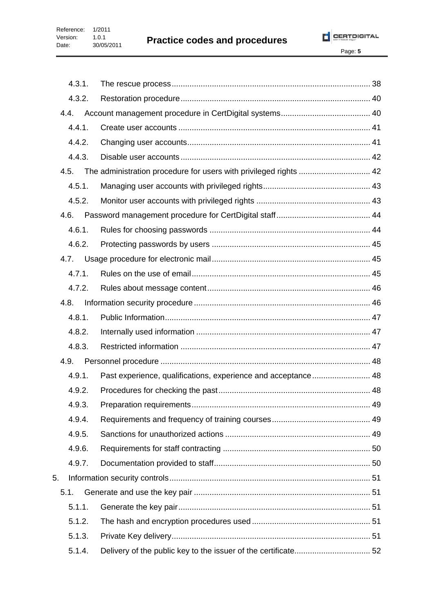|    |      | 4.3.1. |                                                                   |    |
|----|------|--------|-------------------------------------------------------------------|----|
|    |      | 4.3.2. |                                                                   |    |
|    | 4.4. |        |                                                                   |    |
|    |      | 4.4.1. |                                                                   |    |
|    |      | 4.4.2. |                                                                   |    |
|    |      | 4.4.3. |                                                                   |    |
|    | 4.5. |        | The administration procedure for users with privileged rights  42 |    |
|    |      | 4.5.1. |                                                                   |    |
|    |      | 4.5.2. |                                                                   |    |
|    | 4.6. |        |                                                                   |    |
|    |      | 4.6.1. |                                                                   |    |
|    |      | 4.6.2. |                                                                   |    |
|    | 4.7. |        |                                                                   |    |
|    |      | 4.7.1. |                                                                   |    |
|    |      | 4.7.2. |                                                                   |    |
|    | 4.8. |        |                                                                   |    |
|    |      | 4.8.1. |                                                                   |    |
|    |      | 4.8.2. |                                                                   |    |
|    |      | 4.8.3. |                                                                   |    |
|    | 4.9. |        |                                                                   |    |
|    |      | 4.9.1. | Past experience, qualifications, experience and acceptance 48     |    |
|    |      | 4.9.2. |                                                                   |    |
|    |      | 4.9.3. |                                                                   | 49 |
|    |      | 4.9.4. |                                                                   |    |
|    |      | 4.9.5. |                                                                   |    |
|    |      | 4.9.6. |                                                                   |    |
|    |      | 4.9.7. |                                                                   |    |
| 5. |      |        |                                                                   |    |
|    | 5.1. |        |                                                                   |    |
|    |      | 5.1.1. |                                                                   |    |
|    |      | 5.1.2. |                                                                   |    |
|    |      | 5.1.3. |                                                                   |    |
|    |      | 5.1.4. |                                                                   |    |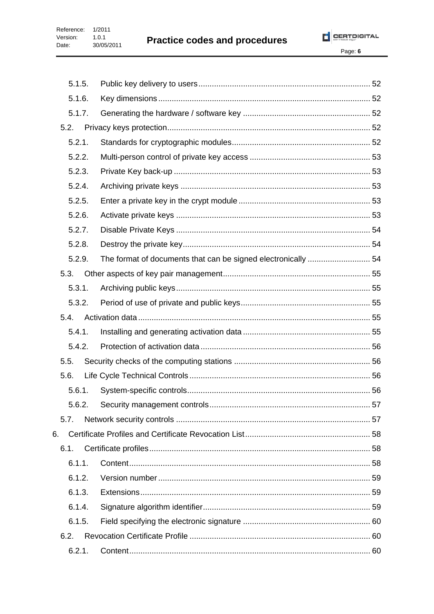|    |      | 5.1.5. |    |
|----|------|--------|----|
|    |      | 5.1.6. |    |
|    |      | 5.1.7. |    |
|    | 5.2. |        |    |
|    |      | 5.2.1. |    |
|    |      | 5.2.2. |    |
|    |      | 5.2.3. |    |
|    |      | 5.2.4. |    |
|    |      | 5.2.5. |    |
|    |      | 5.2.6. |    |
|    |      | 5.2.7. |    |
|    |      | 5.2.8. |    |
|    |      | 5.2.9. |    |
|    | 5.3. |        |    |
|    |      | 5.3.1. |    |
|    |      | 5.3.2. |    |
|    | 5.4. |        |    |
|    |      | 5.4.1. |    |
|    |      | 5.4.2. |    |
|    | 5.5. |        |    |
|    | 5.6. |        |    |
|    |      | 5.6.1. |    |
|    |      |        | 57 |
|    | 5.7. |        |    |
| 6. |      |        |    |
|    | 6.1. |        |    |
|    |      | 6.1.1. |    |
|    |      | 6.1.2. |    |
|    |      | 6.1.3. |    |
|    |      | 6.1.4. |    |
|    |      | 6.1.5. |    |
|    | 6.2. |        |    |
|    |      | 6.2.1. |    |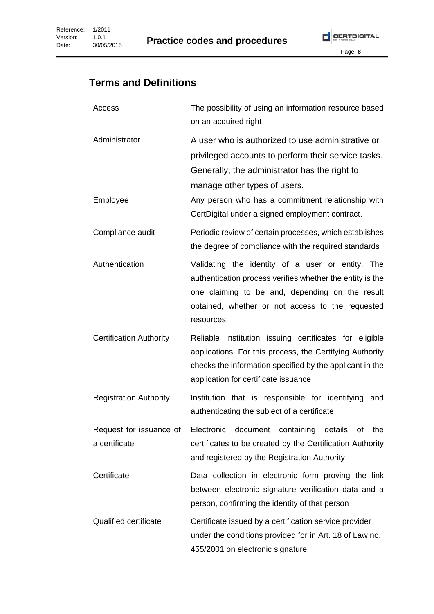Page: **8**

## <span id="page-7-0"></span>**Terms and Definitions**

| Access                                   | The possibility of using an information resource based<br>on an acquired right                                                                                                                                                     |
|------------------------------------------|------------------------------------------------------------------------------------------------------------------------------------------------------------------------------------------------------------------------------------|
| Administrator                            | A user who is authorized to use administrative or<br>privileged accounts to perform their service tasks.<br>Generally, the administrator has the right to<br>manage other types of users.                                          |
| Employee                                 | Any person who has a commitment relationship with<br>CertDigital under a signed employment contract.                                                                                                                               |
| Compliance audit                         | Periodic review of certain processes, which establishes<br>the degree of compliance with the required standards                                                                                                                    |
| Authentication                           | Validating the identity of a user or entity. The<br>authentication process verifies whether the entity is the<br>one claiming to be and, depending on the result<br>obtained, whether or not access to the requested<br>resources. |
| <b>Certification Authority</b>           | Reliable institution issuing certificates for eligible<br>applications. For this process, the Certifying Authority<br>checks the information specified by the applicant in the<br>application for certificate issuance             |
| <b>Registration Authority</b>            | Institution that is responsible for identifying and<br>authenticating the subject of a certificate                                                                                                                                 |
| Request for issuance of<br>a certificate | Electronic document containing details of the<br>certificates to be created by the Certification Authority<br>and registered by the Registration Authority                                                                         |
| Certificate                              | Data collection in electronic form proving the link<br>between electronic signature verification data and a<br>person, confirming the identity of that person                                                                      |
| <b>Qualified certificate</b>             | Certificate issued by a certification service provider<br>under the conditions provided for in Art. 18 of Law no.<br>455/2001 on electronic signature                                                                              |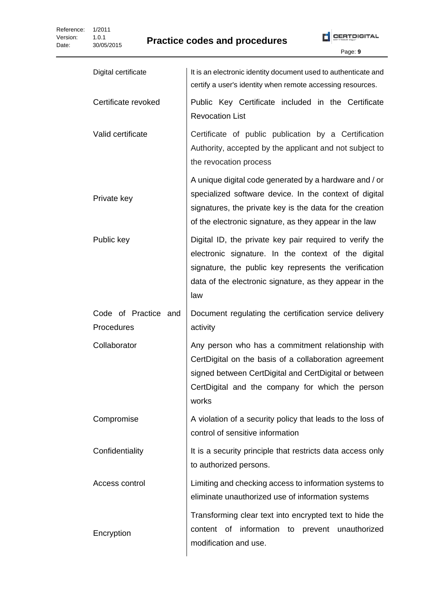#### Reference: 1/2011 Version: Date: 1.0.1<br>30/05/2015

| Digital certificate                | It is an electronic identity document used to authenticate and<br>certify a user's identity when remote accessing resources.                                                                                                              |
|------------------------------------|-------------------------------------------------------------------------------------------------------------------------------------------------------------------------------------------------------------------------------------------|
| Certificate revoked                | Public Key Certificate included in the Certificate<br><b>Revocation List</b>                                                                                                                                                              |
| Valid certificate                  | Certificate of public publication by a Certification<br>Authority, accepted by the applicant and not subject to<br>the revocation process                                                                                                 |
| Private key                        | A unique digital code generated by a hardware and / or<br>specialized software device. In the context of digital<br>signatures, the private key is the data for the creation<br>of the electronic signature, as they appear in the law    |
| Public key                         | Digital ID, the private key pair required to verify the<br>electronic signature. In the context of the digital<br>signature, the public key represents the verification<br>data of the electronic signature, as they appear in the<br>law |
| Code of Practice and<br>Procedures | Document regulating the certification service delivery<br>activity                                                                                                                                                                        |
| Collaborator                       | Any person who has a commitment relationship with<br>CertDigital on the basis of a collaboration agreement<br>signed between CertDigital and CertDigital or between<br>CertDigital and the company for which the person<br>works          |
| Compromise                         | A violation of a security policy that leads to the loss of<br>control of sensitive information                                                                                                                                            |
| Confidentiality                    | It is a security principle that restricts data access only<br>to authorized persons.                                                                                                                                                      |
| Access control                     | Limiting and checking access to information systems to<br>eliminate unauthorized use of information systems                                                                                                                               |
| Encryption                         | Transforming clear text into encrypted text to hide the<br>content of information to prevent<br>unauthorized<br>modification and use.                                                                                                     |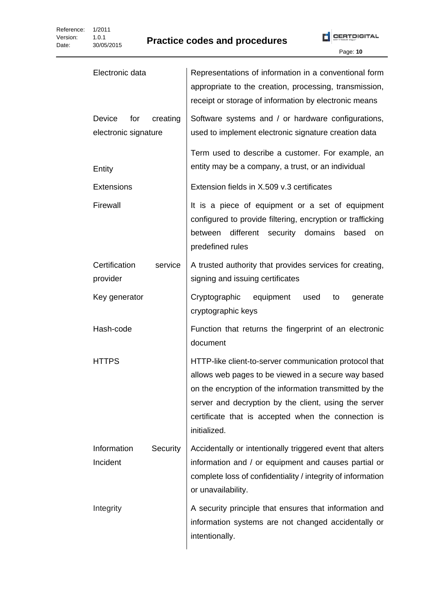| Electronic data                                   | Representations of information in a conventional form<br>appropriate to the creation, processing, transmission,<br>receipt or storage of information by electronic means                                                                                                                                 |
|---------------------------------------------------|----------------------------------------------------------------------------------------------------------------------------------------------------------------------------------------------------------------------------------------------------------------------------------------------------------|
| creating<br>Device<br>for<br>electronic signature | Software systems and / or hardware configurations,<br>used to implement electronic signature creation data                                                                                                                                                                                               |
| Entity                                            | Term used to describe a customer. For example, an<br>entity may be a company, a trust, or an individual                                                                                                                                                                                                  |
| <b>Extensions</b>                                 | Extension fields in X.509 v.3 certificates                                                                                                                                                                                                                                                               |
| Firewall                                          | It is a piece of equipment or a set of equipment<br>configured to provide filtering, encryption or trafficking<br>different<br>security domains<br>between<br>based<br>on<br>predefined rules                                                                                                            |
| Certification<br>service<br>provider              | A trusted authority that provides services for creating,<br>signing and issuing certificates                                                                                                                                                                                                             |
| Key generator                                     | Cryptographic equipment<br>used<br>generate<br>to<br>cryptographic keys                                                                                                                                                                                                                                  |
| Hash-code                                         | Function that returns the fingerprint of an electronic<br>document                                                                                                                                                                                                                                       |
| <b>HTTPS</b>                                      | HTTP-like client-to-server communication protocol that<br>allows web pages to be viewed in a secure way based<br>on the encryption of the information transmitted by the<br>server and decryption by the client, using the server<br>certificate that is accepted when the connection is<br>initialized. |
| Information<br>Security<br>Incident               | Accidentally or intentionally triggered event that alters<br>information and / or equipment and causes partial or<br>complete loss of confidentiality / integrity of information<br>or unavailability.                                                                                                   |
| Integrity                                         | A security principle that ensures that information and<br>information systems are not changed accidentally or<br>intentionally.                                                                                                                                                                          |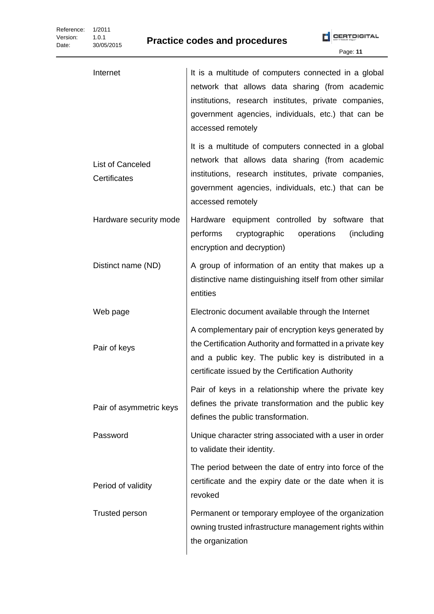| Internet                         | It is a multitude of computers connected in a global<br>network that allows data sharing (from academic<br>institutions, research institutes, private companies,<br>government agencies, individuals, etc.) that can be<br>accessed remotely |
|----------------------------------|----------------------------------------------------------------------------------------------------------------------------------------------------------------------------------------------------------------------------------------------|
| List of Canceled<br>Certificates | It is a multitude of computers connected in a global<br>network that allows data sharing (from academic<br>institutions, research institutes, private companies,<br>government agencies, individuals, etc.) that can be<br>accessed remotely |
| Hardware security mode           | Hardware equipment controlled by software that<br>performs<br>cryptographic<br>operations<br>(including<br>encryption and decryption)                                                                                                        |
| Distinct name (ND)               | A group of information of an entity that makes up a<br>distinctive name distinguishing itself from other similar<br>entities                                                                                                                 |
| Web page                         | Electronic document available through the Internet                                                                                                                                                                                           |
| Pair of keys                     | A complementary pair of encryption keys generated by<br>the Certification Authority and formatted in a private key<br>and a public key. The public key is distributed in a<br>certificate issued by the Certification Authority              |
| Pair of asymmetric keys          | Pair of keys in a relationship where the private key<br>defines the private transformation and the public key<br>defines the public transformation.                                                                                          |
| Password                         | Unique character string associated with a user in order<br>to validate their identity.                                                                                                                                                       |
| Period of validity               | The period between the date of entry into force of the<br>certificate and the expiry date or the date when it is<br>revoked                                                                                                                  |
| <b>Trusted person</b>            | Permanent or temporary employee of the organization<br>owning trusted infrastructure management rights within<br>the organization                                                                                                            |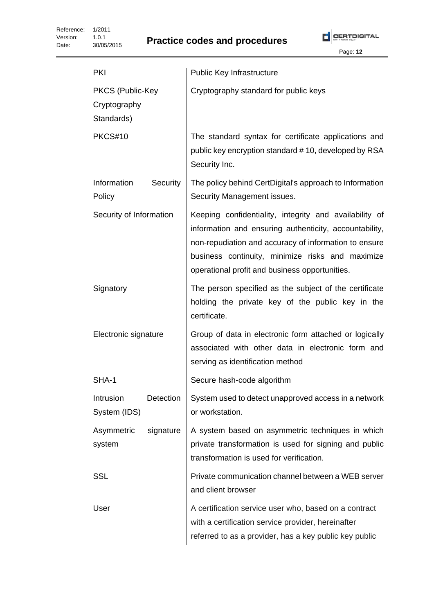

Page: **12**

| PKI                                            | Public Key Infrastructure                                                                                                                                                                                                                                                       |
|------------------------------------------------|---------------------------------------------------------------------------------------------------------------------------------------------------------------------------------------------------------------------------------------------------------------------------------|
| PKCS (Public-Key<br>Cryptography<br>Standards) | Cryptography standard for public keys                                                                                                                                                                                                                                           |
| PKCS#10                                        | The standard syntax for certificate applications and<br>public key encryption standard #10, developed by RSA<br>Security Inc.                                                                                                                                                   |
| Information<br>Security<br>Policy              | The policy behind CertDigital's approach to Information<br>Security Management issues.                                                                                                                                                                                          |
| Security of Information                        | Keeping confidentiality, integrity and availability of<br>information and ensuring authenticity, accountability,<br>non-repudiation and accuracy of information to ensure<br>business continuity, minimize risks and maximize<br>operational profit and business opportunities. |
| Signatory                                      | The person specified as the subject of the certificate<br>holding the private key of the public key in the<br>certificate.                                                                                                                                                      |
| Electronic signature                           | Group of data in electronic form attached or logically<br>associated with other data in electronic form and<br>serving as identification method                                                                                                                                 |
| SHA-1                                          | Secure hash-code algorithm                                                                                                                                                                                                                                                      |
| Intrusion<br>Detection<br>System (IDS)         | System used to detect unapproved access in a network<br>or workstation.                                                                                                                                                                                                         |
| Asymmetric<br>signature<br>system              | A system based on asymmetric techniques in which<br>private transformation is used for signing and public<br>transformation is used for verification.                                                                                                                           |
| <b>SSL</b>                                     | Private communication channel between a WEB server<br>and client browser                                                                                                                                                                                                        |
| User                                           | A certification service user who, based on a contract<br>with a certification service provider, hereinafter<br>referred to as a provider, has a key public key public                                                                                                           |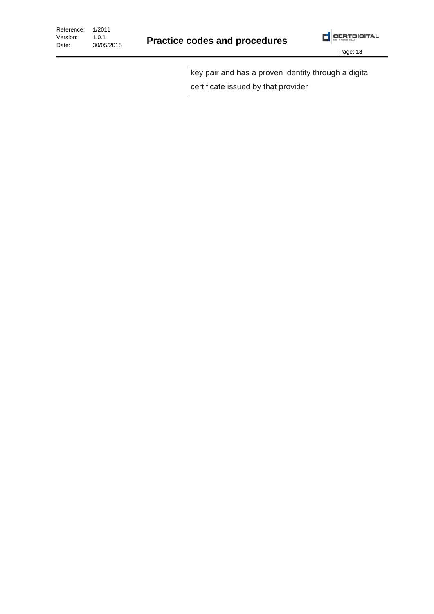

key pair and has a proven identity through a digital certificate issued by that provider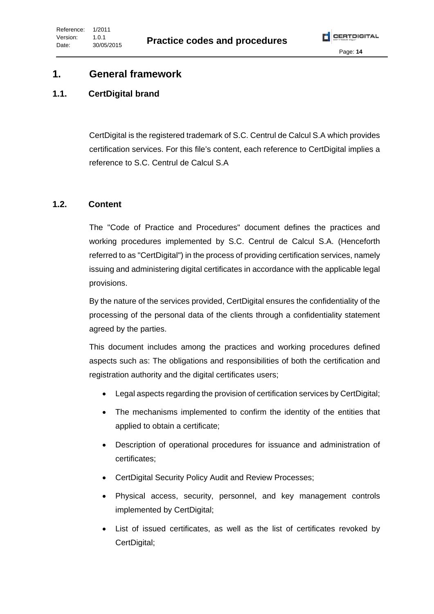## <span id="page-13-0"></span>**1. General framework**

#### <span id="page-13-1"></span>**1.1. CertDigital brand**

CertDigital is the registered trademark of S.C. Centrul de Calcul S.A which provides certification services. For this file's content, each reference to CertDigital implies a reference to S.C. Centrul de Calcul S.A

#### <span id="page-13-2"></span>**1.2. Content**

The "Code of Practice and Procedures" document defines the practices and working procedures implemented by S.C. Centrul de Calcul S.A. (Henceforth referred to as "CertDigital") in the process of providing certification services, namely issuing and administering digital certificates in accordance with the applicable legal provisions.

By the nature of the services provided, CertDigital ensures the confidentiality of the processing of the personal data of the clients through a confidentiality statement agreed by the parties.

This document includes among the practices and working procedures defined aspects such as: The obligations and responsibilities of both the certification and registration authority and the digital certificates users;

- Legal aspects regarding the provision of certification services by CertDigital;
- The mechanisms implemented to confirm the identity of the entities that applied to obtain a certificate;
- Description of operational procedures for issuance and administration of certificates;
- CertDigital Security Policy Audit and Review Processes;
- Physical access, security, personnel, and key management controls implemented by CertDigital;
- List of issued certificates, as well as the list of certificates revoked by CertDigital;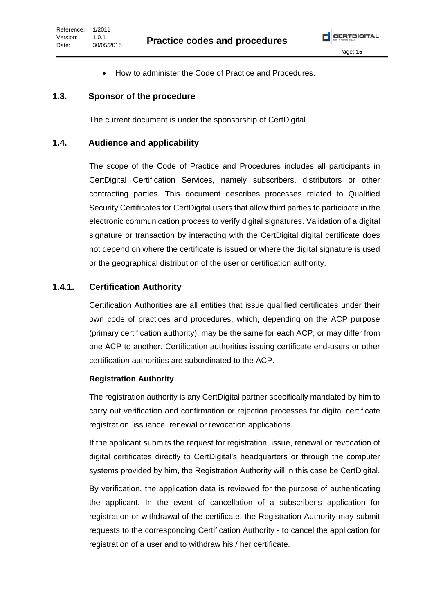• How to administer the Code of Practice and Procedures.

#### <span id="page-14-0"></span>**1.3. Sponsor of the procedure**

The current document is under the sponsorship of CertDigital.

#### <span id="page-14-1"></span>**1.4. Audience and applicability**

The scope of the Code of Practice and Procedures includes all participants in CertDigital Certification Services, namely subscribers, distributors or other contracting parties. This document describes processes related to Qualified Security Certificates for CertDigital users that allow third parties to participate in the electronic communication process to verify digital signatures. Validation of a digital signature or transaction by interacting with the CertDigital digital certificate does not depend on where the certificate is issued or where the digital signature is used or the geographical distribution of the user or certification authority.

#### <span id="page-14-2"></span>**1.4.1. Certification Authority**

Certification Authorities are all entities that issue qualified certificates under their own code of practices and procedures, which, depending on the ACP purpose (primary certification authority), may be the same for each ACP, or may differ from one ACP to another. Certification authorities issuing certificate end-users or other certification authorities are subordinated to the ACP.

#### **Registration Authority**

The registration authority is any CertDigital partner specifically mandated by him to carry out verification and confirmation or rejection processes for digital certificate registration, issuance, renewal or revocation applications.

If the applicant submits the request for registration, issue, renewal or revocation of digital certificates directly to CertDigital's headquarters or through the computer systems provided by him, the Registration Authority will in this case be CertDigital.

By verification, the application data is reviewed for the purpose of authenticating the applicant. In the event of cancellation of a subscriber's application for registration or withdrawal of the certificate, the Registration Authority may submit requests to the corresponding Certification Authority - to cancel the application for registration of a user and to withdraw his / her certificate.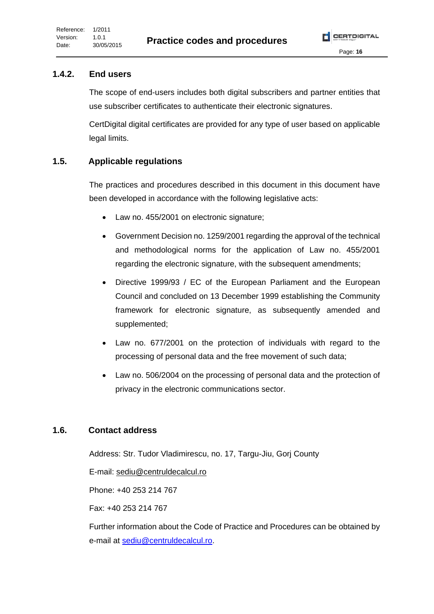#### <span id="page-15-0"></span>**1.4.2. End users**

The scope of end-users includes both digital subscribers and partner entities that use subscriber certificates to authenticate their electronic signatures.

CertDigital digital certificates are provided for any type of user based on applicable legal limits.

#### <span id="page-15-1"></span>**1.5. Applicable regulations**

The practices and procedures described in this document in this document have been developed in accordance with the following legislative acts:

- Law no. 455/2001 on electronic signature;
- Government Decision no. 1259/2001 regarding the approval of the technical and methodological norms for the application of Law no. 455/2001 regarding the electronic signature, with the subsequent amendments;
- Directive 1999/93 / EC of the European Parliament and the European Council and concluded on 13 December 1999 establishing the Community framework for electronic signature, as subsequently amended and supplemented;
- Law no. 677/2001 on the protection of individuals with regard to the processing of personal data and the free movement of such data;
- Law no. 506/2004 on the processing of personal data and the protection of privacy in the electronic communications sector.

#### <span id="page-15-2"></span>**1.6. Contact address**

Address: Str. Tudor Vladimirescu, no. 17, Targu-Jiu, Gorj County

E-mail: sediu@centruldecalcul.ro

Phone: +40 253 214 767

Fax: +40 253 214 767

Further information about the Code of Practice and Procedures can be obtained by e-mail at [sediu@centruldecalcul.ro.](mailto:sediu@centruldecalcul.ro)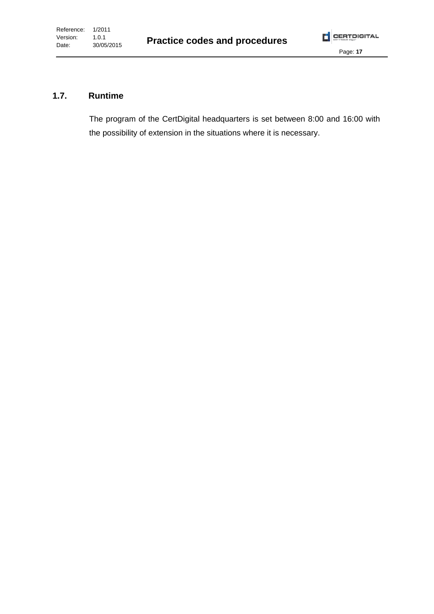

## <span id="page-16-0"></span>**1.7. Runtime**

The program of the CertDigital headquarters is set between 8:00 and 16:00 with the possibility of extension in the situations where it is necessary.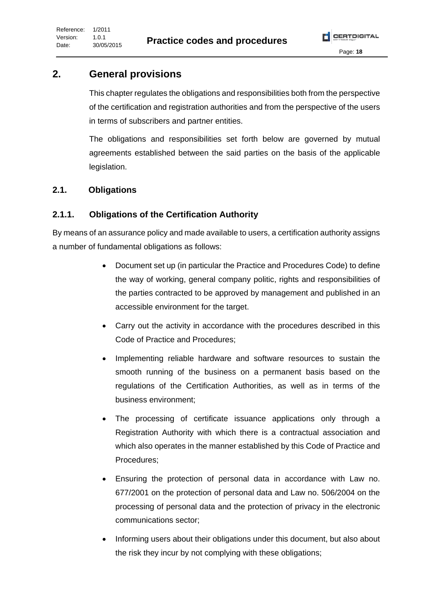## <span id="page-17-0"></span>**2. General provisions**

This chapter regulates the obligations and responsibilities both from the perspective of the certification and registration authorities and from the perspective of the users in terms of subscribers and partner entities.

The obligations and responsibilities set forth below are governed by mutual agreements established between the said parties on the basis of the applicable legislation.

## <span id="page-17-1"></span>**2.1. Obligations**

## <span id="page-17-2"></span>**2.1.1. Obligations of the Certification Authority**

By means of an assurance policy and made available to users, a certification authority assigns a number of fundamental obligations as follows:

- Document set up (in particular the Practice and Procedures Code) to define the way of working, general company politic, rights and responsibilities of the parties contracted to be approved by management and published in an accessible environment for the target.
- Carry out the activity in accordance with the procedures described in this Code of Practice and Procedures;
- Implementing reliable hardware and software resources to sustain the smooth running of the business on a permanent basis based on the regulations of the Certification Authorities, as well as in terms of the business environment;
- The processing of certificate issuance applications only through a Registration Authority with which there is a contractual association and which also operates in the manner established by this Code of Practice and Procedures;
- Ensuring the protection of personal data in accordance with Law no. 677/2001 on the protection of personal data and Law no. 506/2004 on the processing of personal data and the protection of privacy in the electronic communications sector;
- Informing users about their obligations under this document, but also about the risk they incur by not complying with these obligations;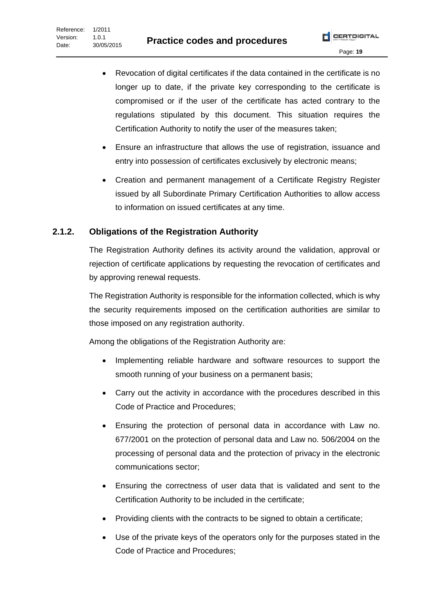- Revocation of digital certificates if the data contained in the certificate is no longer up to date, if the private key corresponding to the certificate is compromised or if the user of the certificate has acted contrary to the regulations stipulated by this document. This situation requires the Certification Authority to notify the user of the measures taken;
- Ensure an infrastructure that allows the use of registration, issuance and entry into possession of certificates exclusively by electronic means;
- Creation and permanent management of a Certificate Registry Register issued by all Subordinate Primary Certification Authorities to allow access to information on issued certificates at any time.

#### <span id="page-18-0"></span>**2.1.2. Obligations of the Registration Authority**

The Registration Authority defines its activity around the validation, approval or rejection of certificate applications by requesting the revocation of certificates and by approving renewal requests.

The Registration Authority is responsible for the information collected, which is why the security requirements imposed on the certification authorities are similar to those imposed on any registration authority.

Among the obligations of the Registration Authority are:

- Implementing reliable hardware and software resources to support the smooth running of your business on a permanent basis;
- Carry out the activity in accordance with the procedures described in this Code of Practice and Procedures;
- Ensuring the protection of personal data in accordance with Law no. 677/2001 on the protection of personal data and Law no. 506/2004 on the processing of personal data and the protection of privacy in the electronic communications sector;
- Ensuring the correctness of user data that is validated and sent to the Certification Authority to be included in the certificate;
- Providing clients with the contracts to be signed to obtain a certificate;
- Use of the private keys of the operators only for the purposes stated in the Code of Practice and Procedures;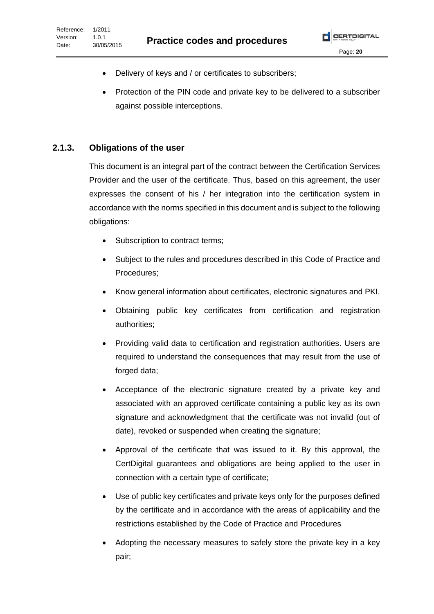- Delivery of keys and / or certificates to subscribers;
- Protection of the PIN code and private key to be delivered to a subscriber against possible interceptions.

#### <span id="page-19-0"></span>**2.1.3. Obligations of the user**

This document is an integral part of the contract between the Certification Services Provider and the user of the certificate. Thus, based on this agreement, the user expresses the consent of his / her integration into the certification system in accordance with the norms specified in this document and is subject to the following obligations:

- Subscription to contract terms;
- Subject to the rules and procedures described in this Code of Practice and Procedures;
- Know general information about certificates, electronic signatures and PKI.
- Obtaining public key certificates from certification and registration authorities;
- Providing valid data to certification and registration authorities. Users are required to understand the consequences that may result from the use of forged data;
- Acceptance of the electronic signature created by a private key and associated with an approved certificate containing a public key as its own signature and acknowledgment that the certificate was not invalid (out of date), revoked or suspended when creating the signature;
- Approval of the certificate that was issued to it. By this approval, the CertDigital guarantees and obligations are being applied to the user in connection with a certain type of certificate;
- Use of public key certificates and private keys only for the purposes defined by the certificate and in accordance with the areas of applicability and the restrictions established by the Code of Practice and Procedures
- Adopting the necessary measures to safely store the private key in a key pair;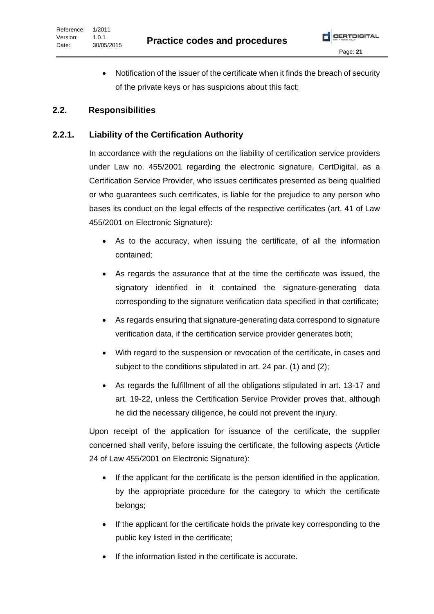• Notification of the issuer of the certificate when it finds the breach of security of the private keys or has suspicions about this fact;

#### <span id="page-20-0"></span>**2.2. Responsibilities**

#### <span id="page-20-1"></span>**2.2.1. Liability of the Certification Authority**

In accordance with the regulations on the liability of certification service providers under Law no. 455/2001 regarding the electronic signature, CertDigital, as a Certification Service Provider, who issues certificates presented as being qualified or who guarantees such certificates, is liable for the prejudice to any person who bases its conduct on the legal effects of the respective certificates (art. 41 of Law 455/2001 on Electronic Signature):

- As to the accuracy, when issuing the certificate, of all the information contained;
- As regards the assurance that at the time the certificate was issued, the signatory identified in it contained the signature-generating data corresponding to the signature verification data specified in that certificate;
- As regards ensuring that signature-generating data correspond to signature verification data, if the certification service provider generates both;
- With regard to the suspension or revocation of the certificate, in cases and subject to the conditions stipulated in art. 24 par. (1) and (2);
- As regards the fulfillment of all the obligations stipulated in art. 13-17 and art. 19-22, unless the Certification Service Provider proves that, although he did the necessary diligence, he could not prevent the injury.

Upon receipt of the application for issuance of the certificate, the supplier concerned shall verify, before issuing the certificate, the following aspects (Article 24 of Law 455/2001 on Electronic Signature):

- If the applicant for the certificate is the person identified in the application, by the appropriate procedure for the category to which the certificate belongs;
- If the applicant for the certificate holds the private key corresponding to the public key listed in the certificate;
- If the information listed in the certificate is accurate.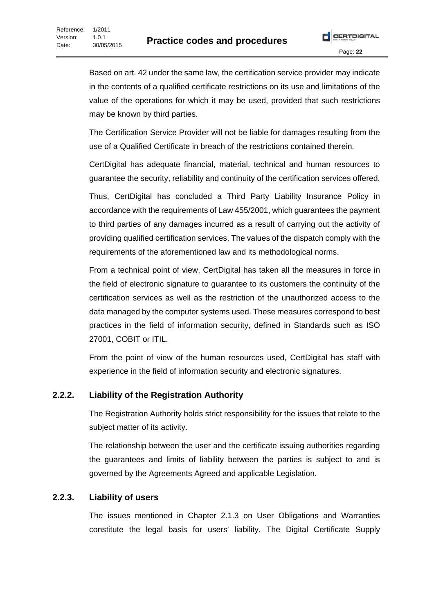Based on art. 42 under the same law, the certification service provider may indicate in the contents of a qualified certificate restrictions on its use and limitations of the value of the operations for which it may be used, provided that such restrictions may be known by third parties.

The Certification Service Provider will not be liable for damages resulting from the use of a Qualified Certificate in breach of the restrictions contained therein.

CertDigital has adequate financial, material, technical and human resources to guarantee the security, reliability and continuity of the certification services offered.

Thus, CertDigital has concluded a Third Party Liability Insurance Policy in accordance with the requirements of Law 455/2001, which guarantees the payment to third parties of any damages incurred as a result of carrying out the activity of providing qualified certification services. The values of the dispatch comply with the requirements of the aforementioned law and its methodological norms.

From a technical point of view, CertDigital has taken all the measures in force in the field of electronic signature to guarantee to its customers the continuity of the certification services as well as the restriction of the unauthorized access to the data managed by the computer systems used. These measures correspond to best practices in the field of information security, defined in Standards such as ISO 27001, COBIT or ITIL.

From the point of view of the human resources used, CertDigital has staff with experience in the field of information security and electronic signatures.

#### <span id="page-21-0"></span>**2.2.2. Liability of the Registration Authority**

The Registration Authority holds strict responsibility for the issues that relate to the subject matter of its activity.

The relationship between the user and the certificate issuing authorities regarding the guarantees and limits of liability between the parties is subject to and is governed by the Agreements Agreed and applicable Legislation.

#### <span id="page-21-1"></span>**2.2.3. Liability of users**

The issues mentioned in Chapter 2.1.3 on User Obligations and Warranties constitute the legal basis for users' liability. The Digital Certificate Supply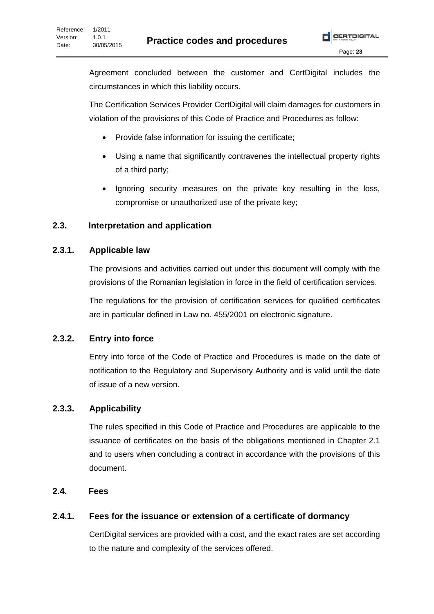Agreement concluded between the customer and CertDigital includes the circumstances in which this liability occurs.

The Certification Services Provider CertDigital will claim damages for customers in violation of the provisions of this Code of Practice and Procedures as follow:

- Provide false information for issuing the certificate;
- Using a name that significantly contravenes the intellectual property rights of a third party;
- Ignoring security measures on the private key resulting in the loss, compromise or unauthorized use of the private key;

#### <span id="page-22-0"></span>**2.3. Interpretation and application**

#### <span id="page-22-1"></span>**2.3.1. Applicable law**

The provisions and activities carried out under this document will comply with the provisions of the Romanian legislation in force in the field of certification services.

The regulations for the provision of certification services for qualified certificates are in particular defined in Law no. 455/2001 on electronic signature.

#### <span id="page-22-2"></span>**2.3.2. Entry into force**

Entry into force of the Code of Practice and Procedures is made on the date of notification to the Regulatory and Supervisory Authority and is valid until the date of issue of a new version.

#### <span id="page-22-3"></span>**2.3.3. Applicability**

The rules specified in this Code of Practice and Procedures are applicable to the issuance of certificates on the basis of the obligations mentioned in Chapter 2.1 and to users when concluding a contract in accordance with the provisions of this document.

#### <span id="page-22-4"></span>**2.4. Fees**

#### <span id="page-22-5"></span>**2.4.1. Fees for the issuance or extension of a certificate of dormancy**

CertDigital services are provided with a cost, and the exact rates are set according to the nature and complexity of the services offered.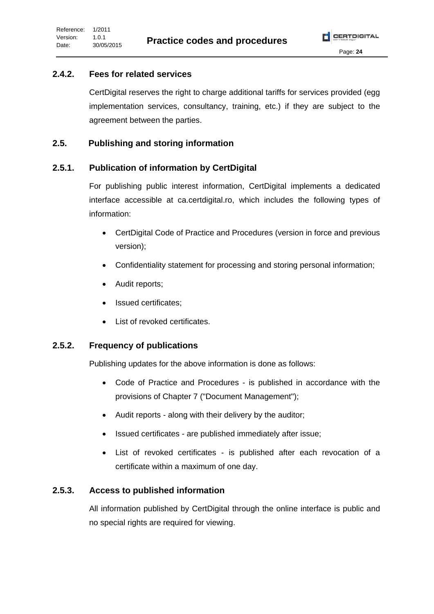#### <span id="page-23-0"></span>**2.4.2. Fees for related services**

CertDigital reserves the right to charge additional tariffs for services provided (egg implementation services, consultancy, training, etc.) if they are subject to the agreement between the parties.

#### <span id="page-23-1"></span>**2.5. Publishing and storing information**

#### <span id="page-23-2"></span>**2.5.1. Publication of information by CertDigital**

For publishing public interest information, CertDigital implements a dedicated interface accessible at ca.certdigital.ro, which includes the following types of information:

- CertDigital Code of Practice and Procedures (version in force and previous version);
- Confidentiality statement for processing and storing personal information;
- Audit reports:
- Issued certificates;
- List of revoked certificates.

#### <span id="page-23-3"></span>**2.5.2. Frequency of publications**

Publishing updates for the above information is done as follows:

- Code of Practice and Procedures is published in accordance with the provisions of Chapter 7 ("Document Management");
- Audit reports along with their delivery by the auditor;
- Issued certificates are published immediately after issue;
- List of revoked certificates is published after each revocation of a certificate within a maximum of one day.

#### <span id="page-23-4"></span>**2.5.3. Access to published information**

All information published by CertDigital through the online interface is public and no special rights are required for viewing.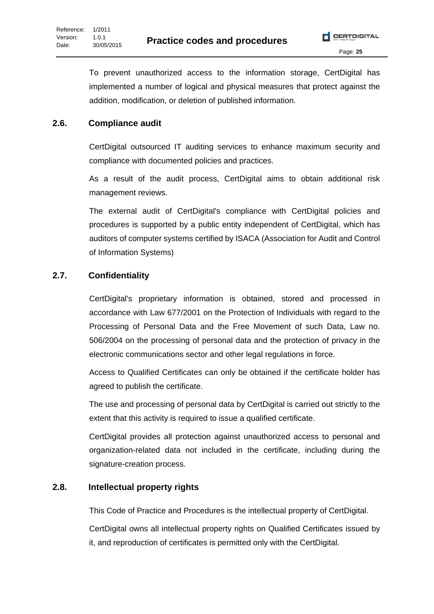To prevent unauthorized access to the information storage, CertDigital has implemented a number of logical and physical measures that protect against the addition, modification, or deletion of published information.

#### <span id="page-24-0"></span>**2.6. Compliance audit**

CertDigital outsourced IT auditing services to enhance maximum security and compliance with documented policies and practices.

As a result of the audit process, CertDigital aims to obtain additional risk management reviews.

The external audit of CertDigital's compliance with CertDigital policies and procedures is supported by a public entity independent of CertDigital, which has auditors of computer systems certified by ISACA (Association for Audit and Control of Information Systems)

#### <span id="page-24-1"></span>**2.7. Confidentiality**

CertDigital's proprietary information is obtained, stored and processed in accordance with Law 677/2001 on the Protection of Individuals with regard to the Processing of Personal Data and the Free Movement of such Data, Law no. 506/2004 on the processing of personal data and the protection of privacy in the electronic communications sector and other legal regulations in force.

Access to Qualified Certificates can only be obtained if the certificate holder has agreed to publish the certificate.

The use and processing of personal data by CertDigital is carried out strictly to the extent that this activity is required to issue a qualified certificate.

CertDigital provides all protection against unauthorized access to personal and organization-related data not included in the certificate, including during the signature-creation process.

#### <span id="page-24-2"></span>**2.8. Intellectual property rights**

This Code of Practice and Procedures is the intellectual property of CertDigital.

CertDigital owns all intellectual property rights on Qualified Certificates issued by it, and reproduction of certificates is permitted only with the CertDigital.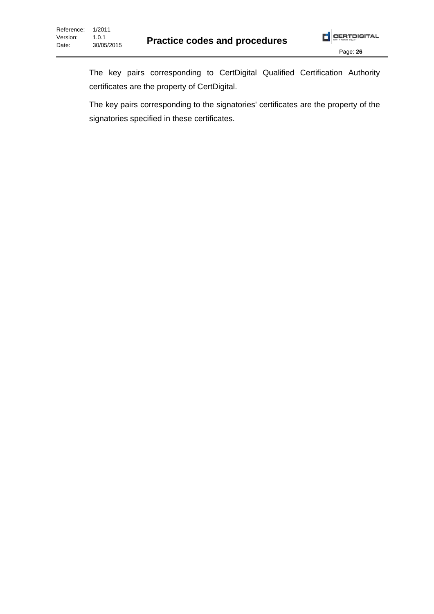The key pairs corresponding to CertDigital Qualified Certification Authority certificates are the property of CertDigital.

The key pairs corresponding to the signatories' certificates are the property of the signatories specified in these certificates.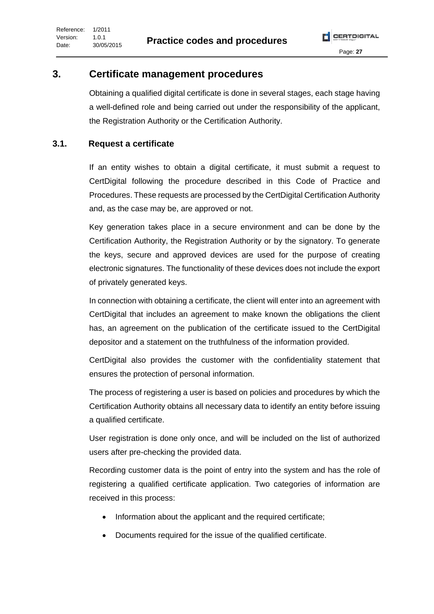| п | $\left \right $ CERTDIGITAL |
|---|-----------------------------|
|   | Page: 27                    |

### <span id="page-26-0"></span>**3. Certificate management procedures**

Obtaining a qualified digital certificate is done in several stages, each stage having a well-defined role and being carried out under the responsibility of the applicant, the Registration Authority or the Certification Authority.

#### <span id="page-26-1"></span>**3.1. Request a certificate**

If an entity wishes to obtain a digital certificate, it must submit a request to CertDigital following the procedure described in this Code of Practice and Procedures. These requests are processed by the CertDigital Certification Authority and, as the case may be, are approved or not.

Key generation takes place in a secure environment and can be done by the Certification Authority, the Registration Authority or by the signatory. To generate the keys, secure and approved devices are used for the purpose of creating electronic signatures. The functionality of these devices does not include the export of privately generated keys.

In connection with obtaining a certificate, the client will enter into an agreement with CertDigital that includes an agreement to make known the obligations the client has, an agreement on the publication of the certificate issued to the CertDigital depositor and a statement on the truthfulness of the information provided.

CertDigital also provides the customer with the confidentiality statement that ensures the protection of personal information.

The process of registering a user is based on policies and procedures by which the Certification Authority obtains all necessary data to identify an entity before issuing a qualified certificate.

User registration is done only once, and will be included on the list of authorized users after pre-checking the provided data.

Recording customer data is the point of entry into the system and has the role of registering a qualified certificate application. Two categories of information are received in this process:

- Information about the applicant and the required certificate;
- Documents required for the issue of the qualified certificate.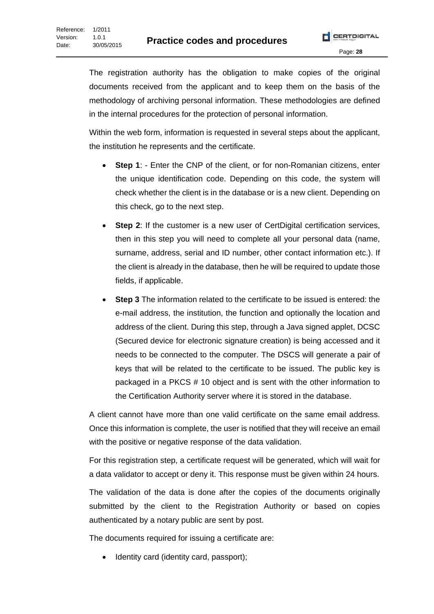The registration authority has the obligation to make copies of the original documents received from the applicant and to keep them on the basis of the methodology of archiving personal information. These methodologies are defined in the internal procedures for the protection of personal information.

Within the web form, information is requested in several steps about the applicant, the institution he represents and the certificate.

- **Step 1:** Enter the CNP of the client, or for non-Romanian citizens, enter the unique identification code. Depending on this code, the system will check whether the client is in the database or is a new client. Depending on this check, go to the next step.
- **Step 2**: If the customer is a new user of CertDigital certification services, then in this step you will need to complete all your personal data (name, surname, address, serial and ID number, other contact information etc.). If the client is already in the database, then he will be required to update those fields, if applicable.
- **Step 3** The information related to the certificate to be issued is entered: the e-mail address, the institution, the function and optionally the location and address of the client. During this step, through a Java signed applet, DCSC (Secured device for electronic signature creation) is being accessed and it needs to be connected to the computer. The DSCS will generate a pair of keys that will be related to the certificate to be issued. The public key is packaged in a PKCS # 10 object and is sent with the other information to the Certification Authority server where it is stored in the database.

A client cannot have more than one valid certificate on the same email address. Once this information is complete, the user is notified that they will receive an email with the positive or negative response of the data validation.

For this registration step, a certificate request will be generated, which will wait for a data validator to accept or deny it. This response must be given within 24 hours.

The validation of the data is done after the copies of the documents originally submitted by the client to the Registration Authority or based on copies authenticated by a notary public are sent by post.

The documents required for issuing a certificate are:

• Identity card (identity card, passport);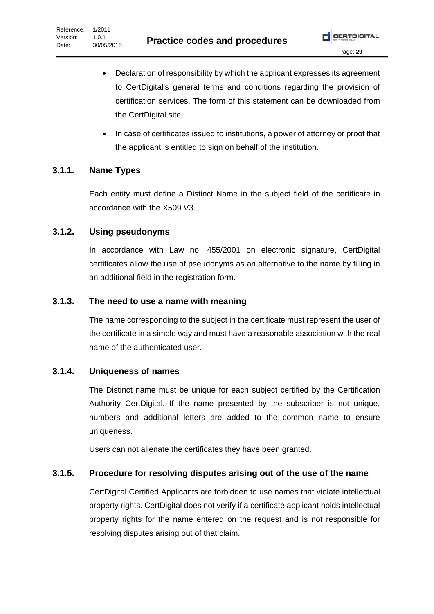- Declaration of responsibility by which the applicant expresses its agreement to CertDigital's general terms and conditions regarding the provision of certification services. The form of this statement can be downloaded from the CertDigital site.
- In case of certificates issued to institutions, a power of attorney or proof that the applicant is entitled to sign on behalf of the institution.

#### <span id="page-28-0"></span>**3.1.1. Name Types**

Each entity must define a Distinct Name in the subject field of the certificate in accordance with the X509 V3.

#### <span id="page-28-1"></span>**3.1.2. Using pseudonyms**

In accordance with Law no. 455/2001 on electronic signature, CertDigital certificates allow the use of pseudonyms as an alternative to the name by filling in an additional field in the registration form.

#### <span id="page-28-2"></span>**3.1.3. The need to use a name with meaning**

The name corresponding to the subject in the certificate must represent the user of the certificate in a simple way and must have a reasonable association with the real name of the authenticated user.

#### <span id="page-28-3"></span>**3.1.4. Uniqueness of names**

The Distinct name must be unique for each subject certified by the Certification Authority CertDigital. If the name presented by the subscriber is not unique, numbers and additional letters are added to the common name to ensure uniqueness.

Users can not alienate the certificates they have been granted.

#### <span id="page-28-4"></span>**3.1.5. Procedure for resolving disputes arising out of the use of the name**

CertDigital Certified Applicants are forbidden to use names that violate intellectual property rights. CertDigital does not verify if a certificate applicant holds intellectual property rights for the name entered on the request and is not responsible for resolving disputes arising out of that claim.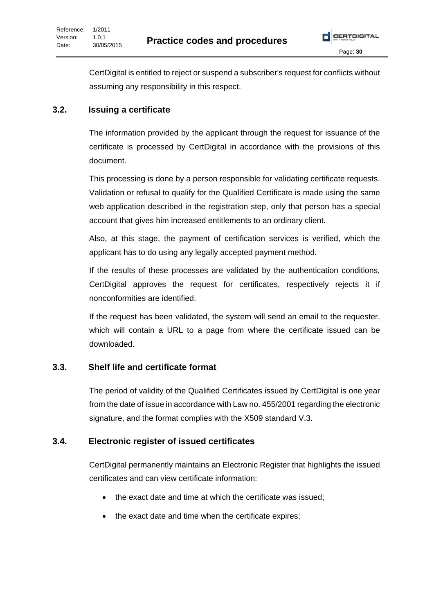CertDigital is entitled to reject or suspend a subscriber's request for conflicts without assuming any responsibility in this respect.

#### <span id="page-29-0"></span>**3.2. Issuing a certificate**

The information provided by the applicant through the request for issuance of the certificate is processed by CertDigital in accordance with the provisions of this document.

This processing is done by a person responsible for validating certificate requests. Validation or refusal to qualify for the Qualified Certificate is made using the same web application described in the registration step, only that person has a special account that gives him increased entitlements to an ordinary client.

Also, at this stage, the payment of certification services is verified, which the applicant has to do using any legally accepted payment method.

If the results of these processes are validated by the authentication conditions, CertDigital approves the request for certificates, respectively rejects it if nonconformities are identified.

If the request has been validated, the system will send an email to the requester, which will contain a URL to a page from where the certificate issued can be downloaded.

#### <span id="page-29-1"></span>**3.3. Shelf life and certificate format**

The period of validity of the Qualified Certificates issued by CertDigital is one year from the date of issue in accordance with Law no. 455/2001 regarding the electronic signature, and the format complies with the X509 standard V.3.

#### <span id="page-29-2"></span>**3.4. Electronic register of issued certificates**

CertDigital permanently maintains an Electronic Register that highlights the issued certificates and can view certificate information:

- the exact date and time at which the certificate was issued;
- the exact date and time when the certificate expires;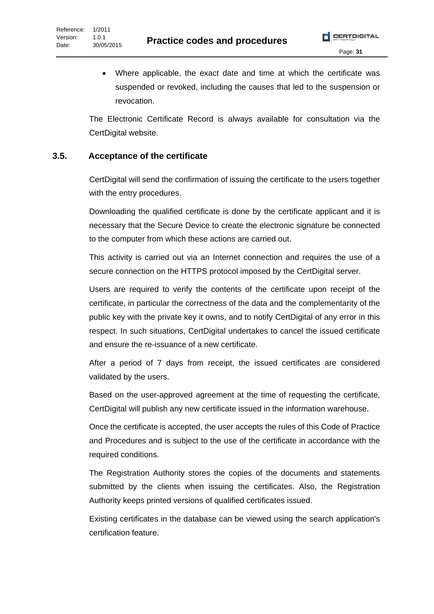• Where applicable, the exact date and time at which the certificate was suspended or revoked, including the causes that led to the suspension or revocation.

The Electronic Certificate Record is always available for consultation via the CertDigital website.

#### <span id="page-30-0"></span>**3.5. Acceptance of the certificate**

CertDigital will send the confirmation of issuing the certificate to the users together with the entry procedures.

Downloading the qualified certificate is done by the certificate applicant and it is necessary that the Secure Device to create the electronic signature be connected to the computer from which these actions are carried out.

This activity is carried out via an Internet connection and requires the use of a secure connection on the HTTPS protocol imposed by the CertDigital server.

Users are required to verify the contents of the certificate upon receipt of the certificate, in particular the correctness of the data and the complementarity of the public key with the private key it owns, and to notify CertDigital of any error in this respect. In such situations, CertDigital undertakes to cancel the issued certificate and ensure the re-issuance of a new certificate.

After a period of 7 days from receipt, the issued certificates are considered validated by the users.

Based on the user-approved agreement at the time of requesting the certificate, CertDigital will publish any new certificate issued in the information warehouse.

Once the certificate is accepted, the user accepts the rules of this Code of Practice and Procedures and is subject to the use of the certificate in accordance with the required conditions.

The Registration Authority stores the copies of the documents and statements submitted by the clients when issuing the certificates. Also, the Registration Authority keeps printed versions of qualified certificates issued.

Existing certificates in the database can be viewed using the search application's certification feature.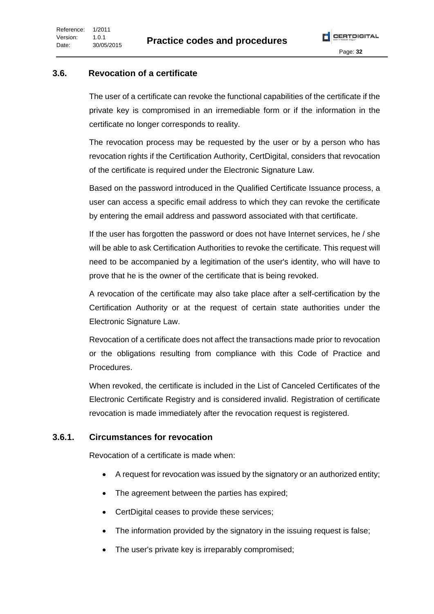#### <span id="page-31-0"></span>**3.6. Revocation of a certificate**

The user of a certificate can revoke the functional capabilities of the certificate if the private key is compromised in an irremediable form or if the information in the certificate no longer corresponds to reality.

The revocation process may be requested by the user or by a person who has revocation rights if the Certification Authority, CertDigital, considers that revocation of the certificate is required under the Electronic Signature Law.

Based on the password introduced in the Qualified Certificate Issuance process, a user can access a specific email address to which they can revoke the certificate by entering the email address and password associated with that certificate.

If the user has forgotten the password or does not have Internet services, he / she will be able to ask Certification Authorities to revoke the certificate. This request will need to be accompanied by a legitimation of the user's identity, who will have to prove that he is the owner of the certificate that is being revoked.

A revocation of the certificate may also take place after a self-certification by the Certification Authority or at the request of certain state authorities under the Electronic Signature Law.

Revocation of a certificate does not affect the transactions made prior to revocation or the obligations resulting from compliance with this Code of Practice and Procedures.

When revoked, the certificate is included in the List of Canceled Certificates of the Electronic Certificate Registry and is considered invalid. Registration of certificate revocation is made immediately after the revocation request is registered.

#### <span id="page-31-1"></span>**3.6.1. Circumstances for revocation**

Revocation of a certificate is made when:

- A request for revocation was issued by the signatory or an authorized entity;
- The agreement between the parties has expired;
- CertDigital ceases to provide these services;
- The information provided by the signatory in the issuing request is false;
- The user's private key is irreparably compromised;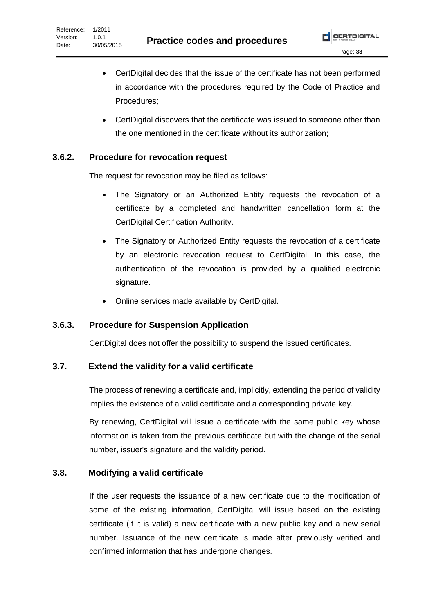- CertDigital decides that the issue of the certificate has not been performed in accordance with the procedures required by the Code of Practice and Procedures;
- CertDigital discovers that the certificate was issued to someone other than the one mentioned in the certificate without its authorization;

#### <span id="page-32-0"></span>**3.6.2. Procedure for revocation request**

The request for revocation may be filed as follows:

- The Signatory or an Authorized Entity requests the revocation of a certificate by a completed and handwritten cancellation form at the CertDigital Certification Authority.
- The Signatory or Authorized Entity requests the revocation of a certificate by an electronic revocation request to CertDigital. In this case, the authentication of the revocation is provided by a qualified electronic signature.
- Online services made available by CertDigital.

#### <span id="page-32-1"></span>**3.6.3. Procedure for Suspension Application**

CertDigital does not offer the possibility to suspend the issued certificates.

#### <span id="page-32-2"></span>**3.7. Extend the validity for a valid certificate**

The process of renewing a certificate and, implicitly, extending the period of validity implies the existence of a valid certificate and a corresponding private key.

By renewing, CertDigital will issue a certificate with the same public key whose information is taken from the previous certificate but with the change of the serial number, issuer's signature and the validity period.

#### <span id="page-32-3"></span>**3.8. Modifying a valid certificate**

If the user requests the issuance of a new certificate due to the modification of some of the existing information, CertDigital will issue based on the existing certificate (if it is valid) a new certificate with a new public key and a new serial number. Issuance of the new certificate is made after previously verified and confirmed information that has undergone changes.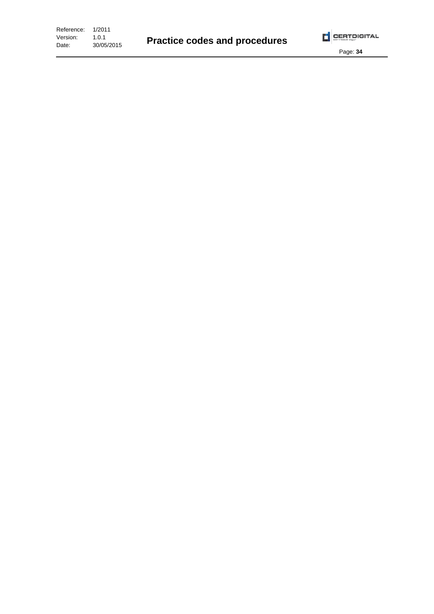Reference : 1/2011 Version: Date: 1.0.1  $30/05/2015$ 

## /05/2015 **Practice codes and procedures**

**CERTDIGITAL**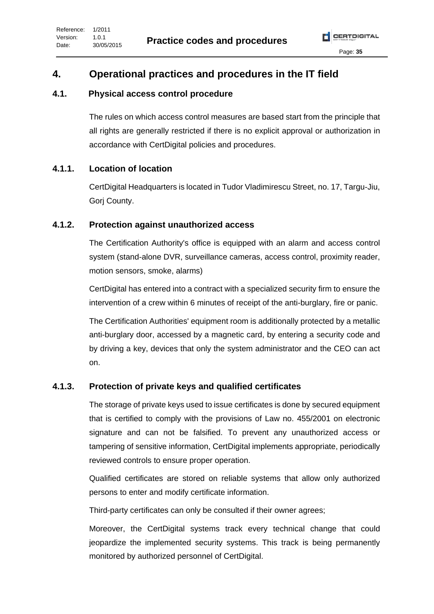## <span id="page-34-0"></span>**4. Operational practices and procedures in the IT field**

#### <span id="page-34-1"></span>**4.1. Physical access control procedure**

The rules on which access control measures are based start from the principle that all rights are generally restricted if there is no explicit approval or authorization in accordance with CertDigital policies and procedures.

#### <span id="page-34-2"></span>**4.1.1. Location of location**

CertDigital Headquarters is located in Tudor Vladimirescu Street, no. 17, Targu-Jiu, Gorj County.

#### <span id="page-34-3"></span>**4.1.2. Protection against unauthorized access**

The Certification Authority's office is equipped with an alarm and access control system (stand-alone DVR, surveillance cameras, access control, proximity reader, motion sensors, smoke, alarms)

CertDigital has entered into a contract with a specialized security firm to ensure the intervention of a crew within 6 minutes of receipt of the anti-burglary, fire or panic.

The Certification Authorities' equipment room is additionally protected by a metallic anti-burglary door, accessed by a magnetic card, by entering a security code and by driving a key, devices that only the system administrator and the CEO can act on.

#### <span id="page-34-4"></span>**4.1.3. Protection of private keys and qualified certificates**

The storage of private keys used to issue certificates is done by secured equipment that is certified to comply with the provisions of Law no. 455/2001 on electronic signature and can not be falsified. To prevent any unauthorized access or tampering of sensitive information, CertDigital implements appropriate, periodically reviewed controls to ensure proper operation.

Qualified certificates are stored on reliable systems that allow only authorized persons to enter and modify certificate information.

Third-party certificates can only be consulted if their owner agrees;

Moreover, the CertDigital systems track every technical change that could jeopardize the implemented security systems. This track is being permanently monitored by authorized personnel of CertDigital.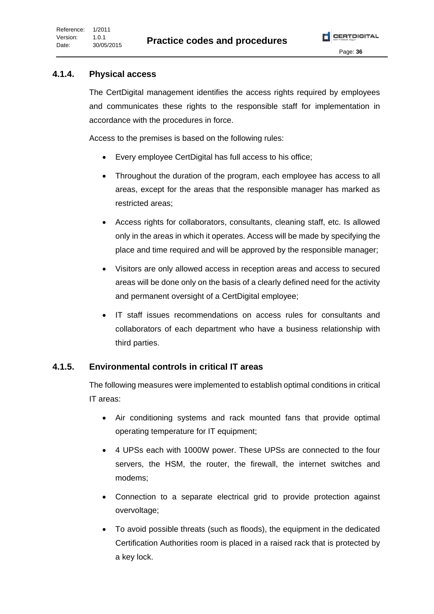## <span id="page-35-0"></span>**4.1.4. Physical access**

The CertDigital management identifies the access rights required by employees and communicates these rights to the responsible staff for implementation in accordance with the procedures in force.

Access to the premises is based on the following rules:

- Every employee CertDigital has full access to his office:
- Throughout the duration of the program, each employee has access to all areas, except for the areas that the responsible manager has marked as restricted areas;
- Access rights for collaborators, consultants, cleaning staff, etc. Is allowed only in the areas in which it operates. Access will be made by specifying the place and time required and will be approved by the responsible manager;
- Visitors are only allowed access in reception areas and access to secured areas will be done only on the basis of a clearly defined need for the activity and permanent oversight of a CertDigital employee;
- IT staff issues recommendations on access rules for consultants and collaborators of each department who have a business relationship with third parties.

## <span id="page-35-1"></span>**4.1.5. Environmental controls in critical IT areas**

The following measures were implemented to establish optimal conditions in critical IT areas:

- Air conditioning systems and rack mounted fans that provide optimal operating temperature for IT equipment;
- 4 UPSs each with 1000W power. These UPSs are connected to the four servers, the HSM, the router, the firewall, the internet switches and modems;
- Connection to a separate electrical grid to provide protection against overvoltage;
- To avoid possible threats (such as floods), the equipment in the dedicated Certification Authorities room is placed in a raised rack that is protected by a key lock.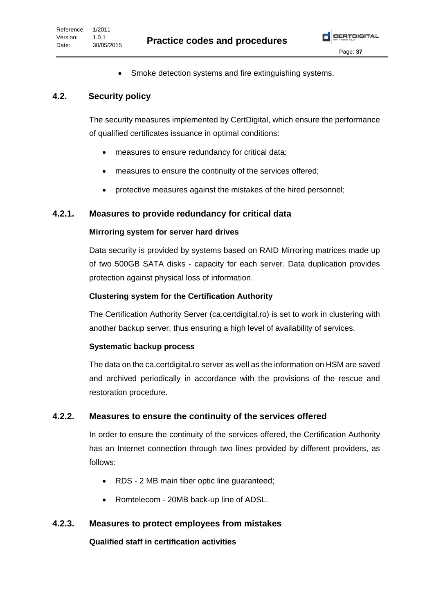• Smoke detection systems and fire extinguishing systems.

#### <span id="page-36-0"></span>**4.2. Security policy**

The security measures implemented by CertDigital, which ensure the performance of qualified certificates issuance in optimal conditions:

- measures to ensure redundancy for critical data;
- measures to ensure the continuity of the services offered;
- protective measures against the mistakes of the hired personnel;

#### <span id="page-36-1"></span>**4.2.1. Measures to provide redundancy for critical data**

#### **Mirroring system for server hard drives**

Data security is provided by systems based on RAID Mirroring matrices made up of two 500GB SATA disks - capacity for each server. Data duplication provides protection against physical loss of information.

#### **Clustering system for the Certification Authority**

The Certification Authority Server (ca.certdigital.ro) is set to work in clustering with another backup server, thus ensuring a high level of availability of services.

#### **Systematic backup process**

The data on the ca.certdigital.ro server as well as the information on HSM are saved and archived periodically in accordance with the provisions of the rescue and restoration procedure.

#### <span id="page-36-2"></span>**4.2.2. Measures to ensure the continuity of the services offered**

In order to ensure the continuity of the services offered, the Certification Authority has an Internet connection through two lines provided by different providers, as follows:

- RDS 2 MB main fiber optic line guaranteed;
- Romtelecom 20MB back-up line of ADSL.

#### <span id="page-36-3"></span>**4.2.3. Measures to protect employees from mistakes**

**Qualified staff in certification activities**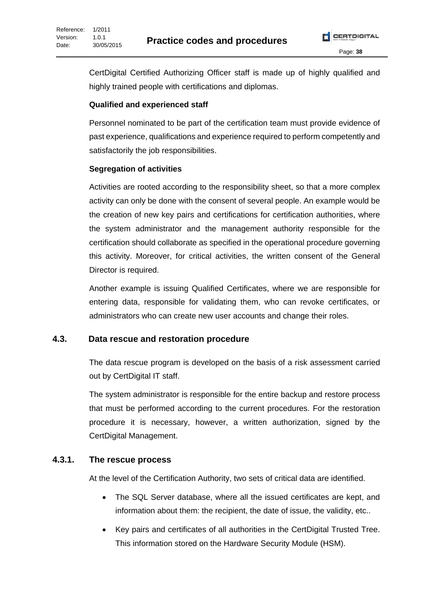CertDigital Certified Authorizing Officer staff is made up of highly qualified and highly trained people with certifications and diplomas.

#### **Qualified and experienced staff**

Personnel nominated to be part of the certification team must provide evidence of past experience, qualifications and experience required to perform competently and satisfactorily the job responsibilities.

#### **Segregation of activities**

Activities are rooted according to the responsibility sheet, so that a more complex activity can only be done with the consent of several people. An example would be the creation of new key pairs and certifications for certification authorities, where the system administrator and the management authority responsible for the certification should collaborate as specified in the operational procedure governing this activity. Moreover, for critical activities, the written consent of the General Director is required.

Another example is issuing Qualified Certificates, where we are responsible for entering data, responsible for validating them, who can revoke certificates, or administrators who can create new user accounts and change their roles.

#### <span id="page-37-0"></span>**4.3. Data rescue and restoration procedure**

The data rescue program is developed on the basis of a risk assessment carried out by CertDigital IT staff.

The system administrator is responsible for the entire backup and restore process that must be performed according to the current procedures. For the restoration procedure it is necessary, however, a written authorization, signed by the CertDigital Management.

#### <span id="page-37-1"></span>**4.3.1. The rescue process**

At the level of the Certification Authority, two sets of critical data are identified.

- The SQL Server database, where all the issued certificates are kept, and information about them: the recipient, the date of issue, the validity, etc..
- Key pairs and certificates of all authorities in the CertDigital Trusted Tree. This information stored on the Hardware Security Module (HSM).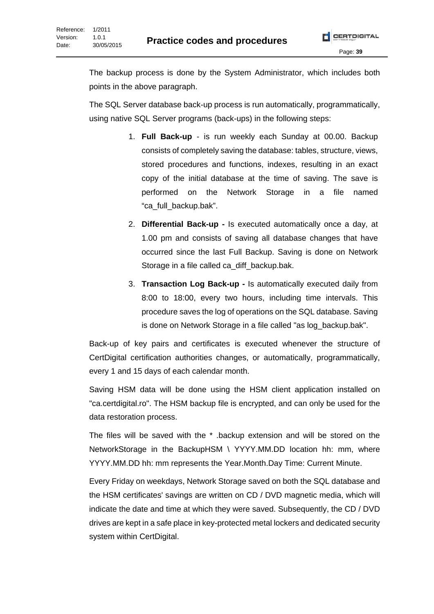The backup process is done by the System Administrator, which includes both points in the above paragraph.

The SQL Server database back-up process is run automatically, programmatically, using native SQL Server programs (back-ups) in the following steps:

- 1. **Full Back-up**  is run weekly each Sunday at 00.00. Backup consists of completely saving the database: tables, structure, views, stored procedures and functions, indexes, resulting in an exact copy of the initial database at the time of saving. The save is performed on the Network Storage in a file named "ca\_full\_backup.bak".
- 2. **Differential Back-up -** Is executed automatically once a day, at 1.00 pm and consists of saving all database changes that have occurred since the last Full Backup. Saving is done on Network Storage in a file called ca\_diff\_backup.bak.
- 3. **Transaction Log Back-up -** Is automatically executed daily from 8:00 to 18:00, every two hours, including time intervals. This procedure saves the log of operations on the SQL database. Saving is done on Network Storage in a file called "as log backup.bak".

Back-up of key pairs and certificates is executed whenever the structure of CertDigital certification authorities changes, or automatically, programmatically, every 1 and 15 days of each calendar month.

Saving HSM data will be done using the HSM client application installed on "ca.certdigital.ro". The HSM backup file is encrypted, and can only be used for the data restoration process.

The files will be saved with the \* .backup extension and will be stored on the NetworkStorage in the BackupHSM \ YYYY.MM.DD location hh: mm, where YYYY.MM.DD hh: mm represents the Year.Month.Day Time: Current Minute.

Every Friday on weekdays, Network Storage saved on both the SQL database and the HSM certificates' savings are written on CD / DVD magnetic media, which will indicate the date and time at which they were saved. Subsequently, the CD / DVD drives are kept in a safe place in key-protected metal lockers and dedicated security system within CertDigital.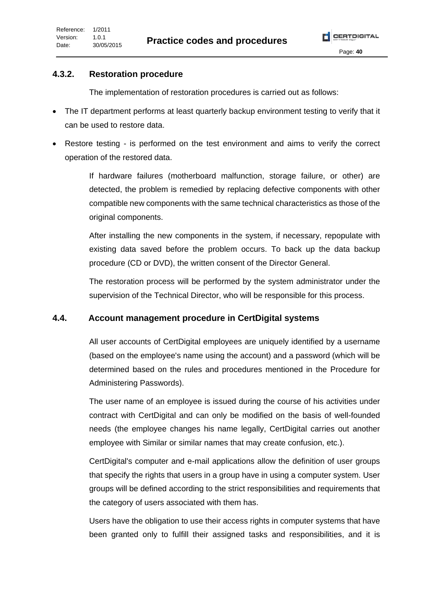#### <span id="page-39-0"></span>**4.3.2. Restoration procedure**

The implementation of restoration procedures is carried out as follows:

- The IT department performs at least quarterly backup environment testing to verify that it can be used to restore data.
- Restore testing is performed on the test environment and aims to verify the correct operation of the restored data.

If hardware failures (motherboard malfunction, storage failure, or other) are detected, the problem is remedied by replacing defective components with other compatible new components with the same technical characteristics as those of the original components.

After installing the new components in the system, if necessary, repopulate with existing data saved before the problem occurs. To back up the data backup procedure (CD or DVD), the written consent of the Director General.

The restoration process will be performed by the system administrator under the supervision of the Technical Director, who will be responsible for this process.

#### <span id="page-39-1"></span>**4.4. Account management procedure in CertDigital systems**

All user accounts of CertDigital employees are uniquely identified by a username (based on the employee's name using the account) and a password (which will be determined based on the rules and procedures mentioned in the Procedure for Administering Passwords).

The user name of an employee is issued during the course of his activities under contract with CertDigital and can only be modified on the basis of well-founded needs (the employee changes his name legally, CertDigital carries out another employee with Similar or similar names that may create confusion, etc.).

CertDigital's computer and e-mail applications allow the definition of user groups that specify the rights that users in a group have in using a computer system. User groups will be defined according to the strict responsibilities and requirements that the category of users associated with them has.

Users have the obligation to use their access rights in computer systems that have been granted only to fulfill their assigned tasks and responsibilities, and it is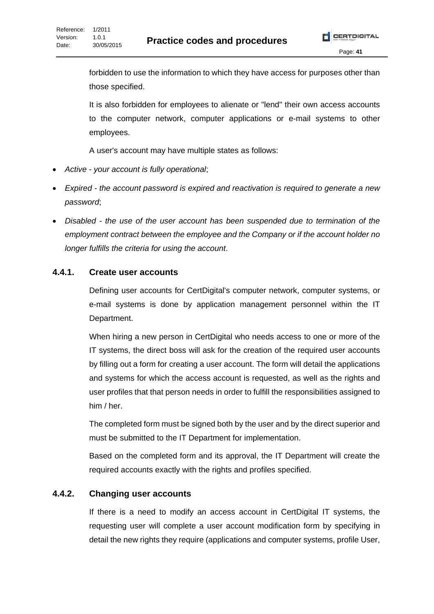forbidden to use the information to which they have access for purposes other than those specified.

It is also forbidden for employees to alienate or "lend" their own access accounts to the computer network, computer applications or e-mail systems to other employees.

A user's account may have multiple states as follows:

- *Active - your account is fully operational*;
- *Expired - the account password is expired and reactivation is required to generate a new password*;
- *Disabled - the use of the user account has been suspended due to termination of the employment contract between the employee and the Company or if the account holder no longer fulfills the criteria for using the account*.

#### <span id="page-40-0"></span>**4.4.1. Create user accounts**

Defining user accounts for CertDigital's computer network, computer systems, or e-mail systems is done by application management personnel within the IT Department.

When hiring a new person in CertDigital who needs access to one or more of the IT systems, the direct boss will ask for the creation of the required user accounts by filling out a form for creating a user account. The form will detail the applications and systems for which the access account is requested, as well as the rights and user profiles that that person needs in order to fulfill the responsibilities assigned to him / her.

The completed form must be signed both by the user and by the direct superior and must be submitted to the IT Department for implementation.

Based on the completed form and its approval, the IT Department will create the required accounts exactly with the rights and profiles specified.

#### <span id="page-40-1"></span>**4.4.2. Changing user accounts**

If there is a need to modify an access account in CertDigital IT systems, the requesting user will complete a user account modification form by specifying in detail the new rights they require (applications and computer systems, profile User,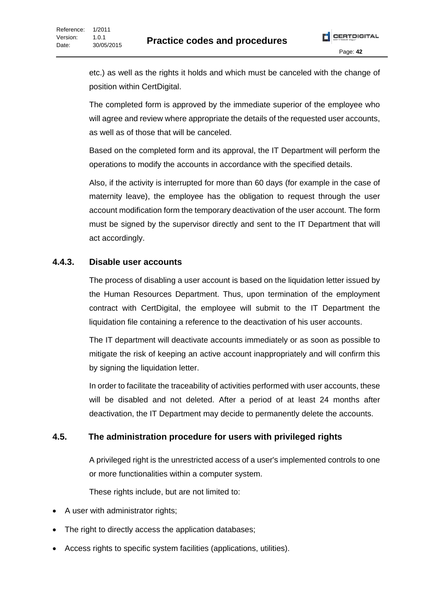etc.) as well as the rights it holds and which must be canceled with the change of position within CertDigital.

The completed form is approved by the immediate superior of the employee who will agree and review where appropriate the details of the requested user accounts, as well as of those that will be canceled.

Based on the completed form and its approval, the IT Department will perform the operations to modify the accounts in accordance with the specified details.

Also, if the activity is interrupted for more than 60 days (for example in the case of maternity leave), the employee has the obligation to request through the user account modification form the temporary deactivation of the user account. The form must be signed by the supervisor directly and sent to the IT Department that will act accordingly.

#### <span id="page-41-0"></span>**4.4.3. Disable user accounts**

The process of disabling a user account is based on the liquidation letter issued by the Human Resources Department. Thus, upon termination of the employment contract with CertDigital, the employee will submit to the IT Department the liquidation file containing a reference to the deactivation of his user accounts.

The IT department will deactivate accounts immediately or as soon as possible to mitigate the risk of keeping an active account inappropriately and will confirm this by signing the liquidation letter.

In order to facilitate the traceability of activities performed with user accounts, these will be disabled and not deleted. After a period of at least 24 months after deactivation, the IT Department may decide to permanently delete the accounts.

#### <span id="page-41-1"></span>**4.5. The administration procedure for users with privileged rights**

A privileged right is the unrestricted access of a user's implemented controls to one or more functionalities within a computer system.

These rights include, but are not limited to:

- A user with administrator rights;
- The right to directly access the application databases;
- Access rights to specific system facilities (applications, utilities).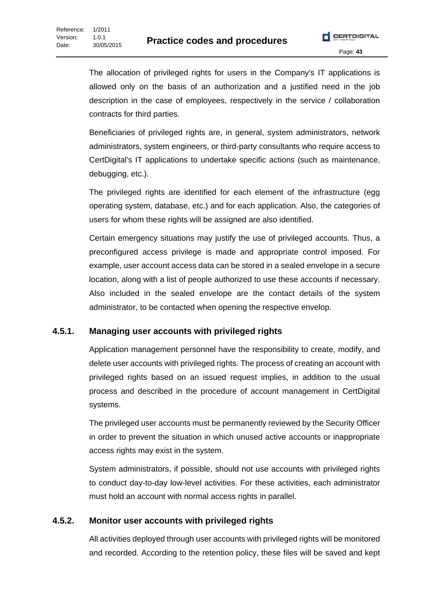The allocation of privileged rights for users in the Company's IT applications is allowed only on the basis of an authorization and a justified need in the job description in the case of employees, respectively in the service / collaboration contracts for third parties.

Beneficiaries of privileged rights are, in general, system administrators, network administrators, system engineers, or third-party consultants who require access to CertDigital's IT applications to undertake specific actions (such as maintenance, debugging, etc.).

The privileged rights are identified for each element of the infrastructure (egg operating system, database, etc.) and for each application. Also, the categories of users for whom these rights will be assigned are also identified.

Certain emergency situations may justify the use of privileged accounts. Thus, a preconfigured access privilege is made and appropriate control imposed. For example, user account access data can be stored in a sealed envelope in a secure location, along with a list of people authorized to use these accounts if necessary. Also included in the sealed envelope are the contact details of the system administrator, to be contacted when opening the respective envelop.

## <span id="page-42-0"></span>**4.5.1. Managing user accounts with privileged rights**

Application management personnel have the responsibility to create, modify, and delete user accounts with privileged rights. The process of creating an account with privileged rights based on an issued request implies, in addition to the usual process and described in the procedure of account management in CertDigital systems.

The privileged user accounts must be permanently reviewed by the Security Officer in order to prevent the situation in which unused active accounts or inappropriate access rights may exist in the system.

System administrators, if possible, should not use accounts with privileged rights to conduct day-to-day low-level activities. For these activities, each administrator must hold an account with normal access rights in parallel.

## <span id="page-42-1"></span>**4.5.2. Monitor user accounts with privileged rights**

All activities deployed through user accounts with privileged rights will be monitored and recorded. According to the retention policy, these files will be saved and kept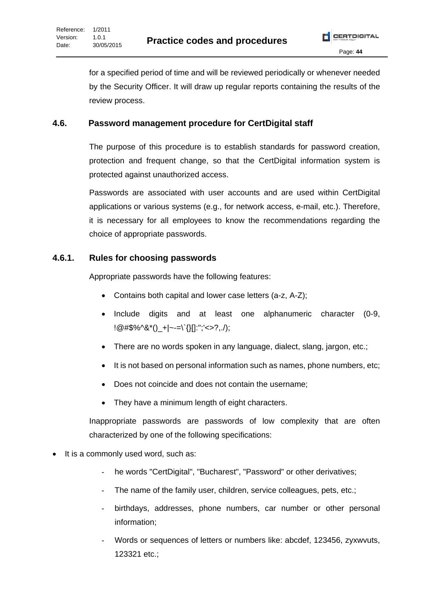for a specified period of time and will be reviewed periodically or whenever needed by the Security Officer. It will draw up regular reports containing the results of the review process.

#### <span id="page-43-0"></span>**4.6. Password management procedure for CertDigital staff**

The purpose of this procedure is to establish standards for password creation, protection and frequent change, so that the CertDigital information system is protected against unauthorized access.

Passwords are associated with user accounts and are used within CertDigital applications or various systems (e.g., for network access, e-mail, etc.). Therefore, it is necessary for all employees to know the recommendations regarding the choice of appropriate passwords.

#### <span id="page-43-1"></span>**4.6.1. Rules for choosing passwords**

Appropriate passwords have the following features:

- Contains both capital and lower case letters (a-z, A-Z);
- Include digits and at least one alphanumeric character (0-9, !@#\$%^&\*()\_+|~-=\`{}[]:";'<>?,./);
- There are no words spoken in any language, dialect, slang, jargon, etc.;
- It is not based on personal information such as names, phone numbers, etc;
- Does not coincide and does not contain the username;
- They have a minimum length of eight characters.

Inappropriate passwords are passwords of low complexity that are often characterized by one of the following specifications:

- It is a commonly used word, such as:
	- he words "CertDigital", "Bucharest", "Password" or other derivatives;
	- The name of the family user, children, service colleagues, pets, etc.;
	- birthdays, addresses, phone numbers, car number or other personal information;
	- Words or sequences of letters or numbers like: abcdef, 123456, zyxwvuts, 123321 etc.;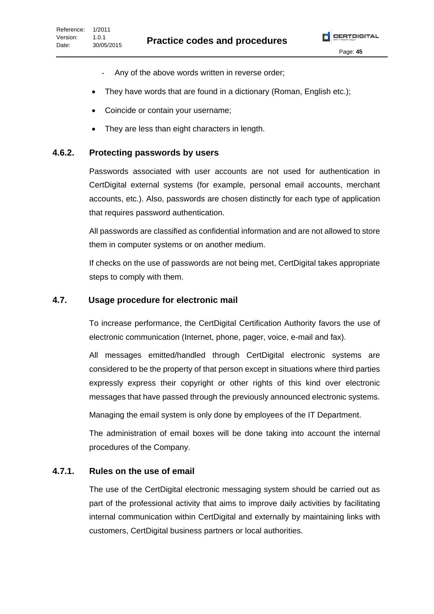- Any of the above words written in reverse order;
- They have words that are found in a dictionary (Roman, English etc.);
- Coincide or contain your username;
- They are less than eight characters in length.

#### <span id="page-44-0"></span>**4.6.2. Protecting passwords by users**

Passwords associated with user accounts are not used for authentication in CertDigital external systems (for example, personal email accounts, merchant accounts, etc.). Also, passwords are chosen distinctly for each type of application that requires password authentication.

All passwords are classified as confidential information and are not allowed to store them in computer systems or on another medium.

If checks on the use of passwords are not being met, CertDigital takes appropriate steps to comply with them.

#### <span id="page-44-1"></span>**4.7. Usage procedure for electronic mail**

To increase performance, the CertDigital Certification Authority favors the use of electronic communication (Internet, phone, pager, voice, e-mail and fax).

All messages emitted/handled through CertDigital electronic systems are considered to be the property of that person except in situations where third parties expressly express their copyright or other rights of this kind over electronic messages that have passed through the previously announced electronic systems.

Managing the email system is only done by employees of the IT Department.

The administration of email boxes will be done taking into account the internal procedures of the Company.

#### <span id="page-44-2"></span>**4.7.1. Rules on the use of email**

The use of the CertDigital electronic messaging system should be carried out as part of the professional activity that aims to improve daily activities by facilitating internal communication within CertDigital and externally by maintaining links with customers, CertDigital business partners or local authorities.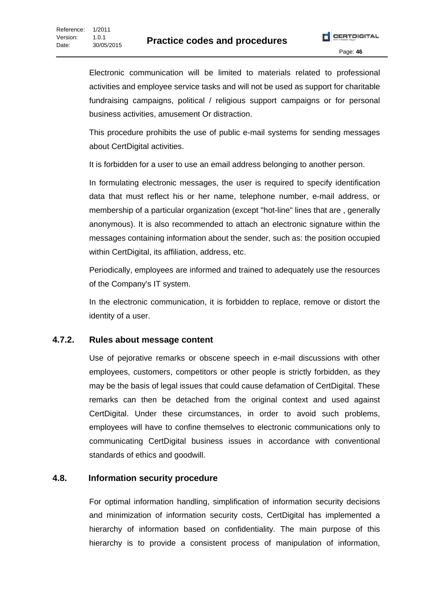Electronic communication will be limited to materials related to professional activities and employee service tasks and will not be used as support for charitable fundraising campaigns, political / religious support campaigns or for personal business activities, amusement Or distraction.

This procedure prohibits the use of public e-mail systems for sending messages about CertDigital activities.

It is forbidden for a user to use an email address belonging to another person.

In formulating electronic messages, the user is required to specify identification data that must reflect his or her name, telephone number, e-mail address, or membership of a particular organization (except "hot-line" lines that are , generally anonymous). It is also recommended to attach an electronic signature within the messages containing information about the sender, such as: the position occupied within CertDigital, its affiliation, address, etc.

Periodically, employees are informed and trained to adequately use the resources of the Company's IT system.

In the electronic communication, it is forbidden to replace, remove or distort the identity of a user.

#### <span id="page-45-0"></span>**4.7.2. Rules about message content**

Use of pejorative remarks or obscene speech in e-mail discussions with other employees, customers, competitors or other people is strictly forbidden, as they may be the basis of legal issues that could cause defamation of CertDigital. These remarks can then be detached from the original context and used against CertDigital. Under these circumstances, in order to avoid such problems, employees will have to confine themselves to electronic communications only to communicating CertDigital business issues in accordance with conventional standards of ethics and goodwill.

#### <span id="page-45-1"></span>**4.8. Information security procedure**

For optimal information handling, simplification of information security decisions and minimization of information security costs, CertDigital has implemented a hierarchy of information based on confidentiality. The main purpose of this hierarchy is to provide a consistent process of manipulation of information,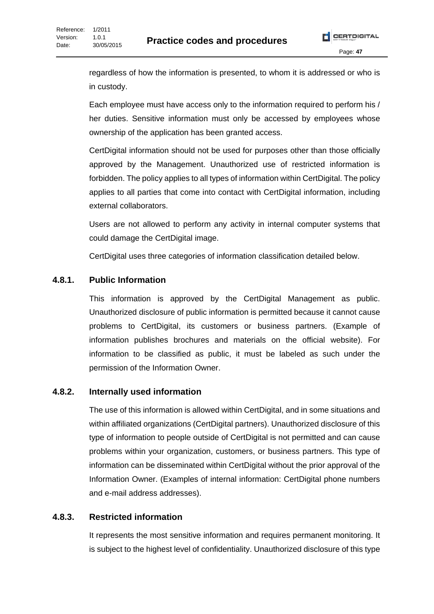regardless of how the information is presented, to whom it is addressed or who is in custody.

Each employee must have access only to the information required to perform his / her duties. Sensitive information must only be accessed by employees whose ownership of the application has been granted access.

CertDigital information should not be used for purposes other than those officially approved by the Management. Unauthorized use of restricted information is forbidden. The policy applies to all types of information within CertDigital. The policy applies to all parties that come into contact with CertDigital information, including external collaborators.

Users are not allowed to perform any activity in internal computer systems that could damage the CertDigital image.

CertDigital uses three categories of information classification detailed below.

#### <span id="page-46-0"></span>**4.8.1. Public Information**

This information is approved by the CertDigital Management as public. Unauthorized disclosure of public information is permitted because it cannot cause problems to CertDigital, its customers or business partners. (Example of information publishes brochures and materials on the official website). For information to be classified as public, it must be labeled as such under the permission of the Information Owner.

#### <span id="page-46-1"></span>**4.8.2. Internally used information**

The use of this information is allowed within CertDigital, and in some situations and within affiliated organizations (CertDigital partners). Unauthorized disclosure of this type of information to people outside of CertDigital is not permitted and can cause problems within your organization, customers, or business partners. This type of information can be disseminated within CertDigital without the prior approval of the Information Owner. (Examples of internal information: CertDigital phone numbers and e-mail address addresses).

#### <span id="page-46-2"></span>**4.8.3. Restricted information**

It represents the most sensitive information and requires permanent monitoring. It is subject to the highest level of confidentiality. Unauthorized disclosure of this type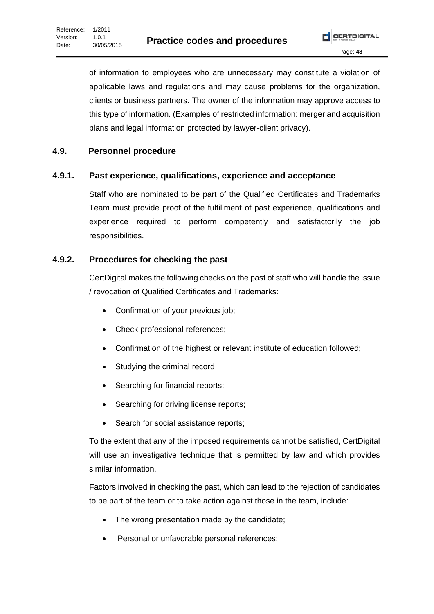of information to employees who are unnecessary may constitute a violation of applicable laws and regulations and may cause problems for the organization, clients or business partners. The owner of the information may approve access to this type of information. (Examples of restricted information: merger and acquisition plans and legal information protected by lawyer-client privacy).

#### <span id="page-47-0"></span>**4.9. Personnel procedure**

#### <span id="page-47-1"></span>**4.9.1. Past experience, qualifications, experience and acceptance**

Staff who are nominated to be part of the Qualified Certificates and Trademarks Team must provide proof of the fulfillment of past experience, qualifications and experience required to perform competently and satisfactorily the job responsibilities.

#### <span id="page-47-2"></span>**4.9.2. Procedures for checking the past**

CertDigital makes the following checks on the past of staff who will handle the issue / revocation of Qualified Certificates and Trademarks:

- Confirmation of your previous job;
- Check professional references;
- Confirmation of the highest or relevant institute of education followed;
- Studying the criminal record
- Searching for financial reports;
- Searching for driving license reports;
- Search for social assistance reports;

To the extent that any of the imposed requirements cannot be satisfied, CertDigital will use an investigative technique that is permitted by law and which provides similar information.

Factors involved in checking the past, which can lead to the rejection of candidates to be part of the team or to take action against those in the team, include:

- The wrong presentation made by the candidate;
- Personal or unfavorable personal references;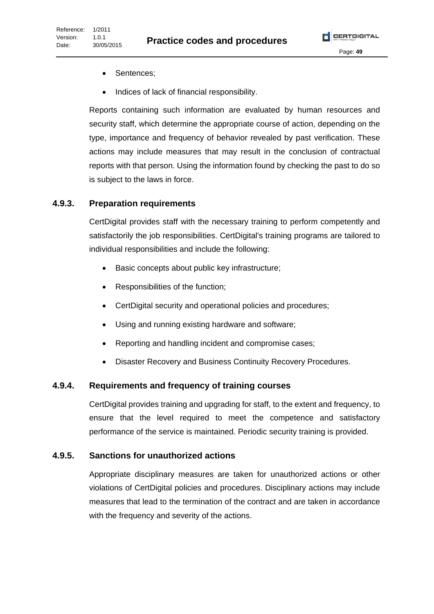- Sentences;
- Indices of lack of financial responsibility.

Reports containing such information are evaluated by human resources and security staff, which determine the appropriate course of action, depending on the type, importance and frequency of behavior revealed by past verification. These actions may include measures that may result in the conclusion of contractual reports with that person. Using the information found by checking the past to do so is subject to the laws in force.

#### <span id="page-48-0"></span>**4.9.3. Preparation requirements**

CertDigital provides staff with the necessary training to perform competently and satisfactorily the job responsibilities. CertDigital's training programs are tailored to individual responsibilities and include the following:

- Basic concepts about public key infrastructure;
- Responsibilities of the function;
- CertDigital security and operational policies and procedures;
- Using and running existing hardware and software;
- Reporting and handling incident and compromise cases;
- Disaster Recovery and Business Continuity Recovery Procedures.

#### <span id="page-48-1"></span>**4.9.4. Requirements and frequency of training courses**

CertDigital provides training and upgrading for staff, to the extent and frequency, to ensure that the level required to meet the competence and satisfactory performance of the service is maintained. Periodic security training is provided.

#### <span id="page-48-2"></span>**4.9.5. Sanctions for unauthorized actions**

Appropriate disciplinary measures are taken for unauthorized actions or other violations of CertDigital policies and procedures. Disciplinary actions may include measures that lead to the termination of the contract and are taken in accordance with the frequency and severity of the actions.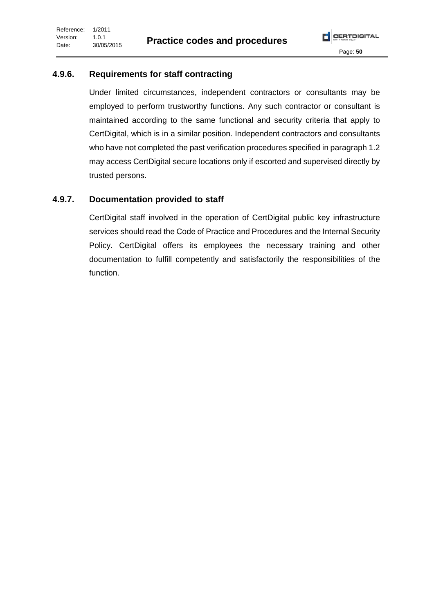#### <span id="page-49-0"></span>**4.9.6. Requirements for staff contracting**

Under limited circumstances, independent contractors or consultants may be employed to perform trustworthy functions. Any such contractor or consultant is maintained according to the same functional and security criteria that apply to CertDigital, which is in a similar position. Independent contractors and consultants who have not completed the past verification procedures specified in paragraph 1.2 may access CertDigital secure locations only if escorted and supervised directly by trusted persons.

#### <span id="page-49-1"></span>**4.9.7. Documentation provided to staff**

CertDigital staff involved in the operation of CertDigital public key infrastructure services should read the Code of Practice and Procedures and the Internal Security Policy. CertDigital offers its employees the necessary training and other documentation to fulfill competently and satisfactorily the responsibilities of the function.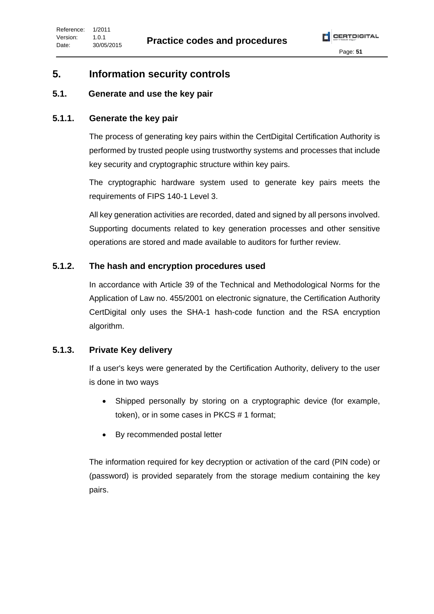Page: **51**

## <span id="page-50-0"></span>**5. Information security controls**

#### <span id="page-50-1"></span>**5.1. Generate and use the key pair**

#### <span id="page-50-2"></span>**5.1.1. Generate the key pair**

The process of generating key pairs within the CertDigital Certification Authority is performed by trusted people using trustworthy systems and processes that include key security and cryptographic structure within key pairs.

The cryptographic hardware system used to generate key pairs meets the requirements of FIPS 140-1 Level 3.

All key generation activities are recorded, dated and signed by all persons involved. Supporting documents related to key generation processes and other sensitive operations are stored and made available to auditors for further review.

#### <span id="page-50-3"></span>**5.1.2. The hash and encryption procedures used**

In accordance with Article 39 of the Technical and Methodological Norms for the Application of Law no. 455/2001 on electronic signature, the Certification Authority CertDigital only uses the SHA-1 hash-code function and the RSA encryption algorithm.

### <span id="page-50-4"></span>**5.1.3. Private Key delivery**

If a user's keys were generated by the Certification Authority, delivery to the user is done in two ways

- Shipped personally by storing on a cryptographic device (for example, token), or in some cases in PKCS # 1 format;
- By recommended postal letter

The information required for key decryption or activation of the card (PIN code) or (password) is provided separately from the storage medium containing the key pairs.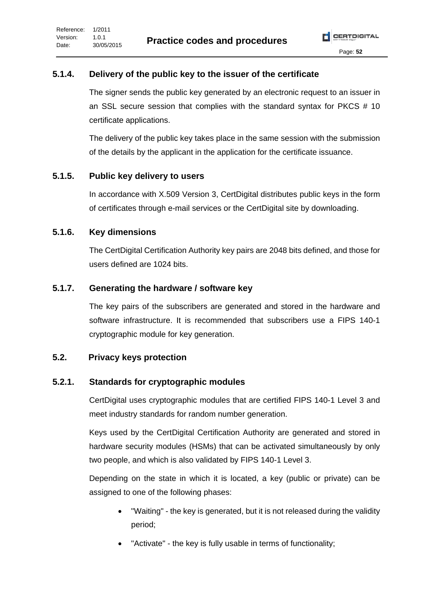#### <span id="page-51-0"></span>**5.1.4. Delivery of the public key to the issuer of the certificate**

The signer sends the public key generated by an electronic request to an issuer in an SSL secure session that complies with the standard syntax for PKCS  $#$  10 certificate applications.

The delivery of the public key takes place in the same session with the submission of the details by the applicant in the application for the certificate issuance.

#### <span id="page-51-1"></span>**5.1.5. Public key delivery to users**

In accordance with X.509 Version 3, CertDigital distributes public keys in the form of certificates through e-mail services or the CertDigital site by downloading.

#### <span id="page-51-2"></span>**5.1.6. Key dimensions**

The CertDigital Certification Authority key pairs are 2048 bits defined, and those for users defined are 1024 bits.

#### <span id="page-51-3"></span>**5.1.7. Generating the hardware / software key**

The key pairs of the subscribers are generated and stored in the hardware and software infrastructure. It is recommended that subscribers use a FIPS 140-1 cryptographic module for key generation.

#### <span id="page-51-4"></span>**5.2. Privacy keys protection**

#### <span id="page-51-5"></span>**5.2.1. Standards for cryptographic modules**

CertDigital uses cryptographic modules that are certified FIPS 140-1 Level 3 and meet industry standards for random number generation.

Keys used by the CertDigital Certification Authority are generated and stored in hardware security modules (HSMs) that can be activated simultaneously by only two people, and which is also validated by FIPS 140-1 Level 3.

Depending on the state in which it is located, a key (public or private) can be assigned to one of the following phases:

- "Waiting" the key is generated, but it is not released during the validity period;
- "Activate" the key is fully usable in terms of functionality;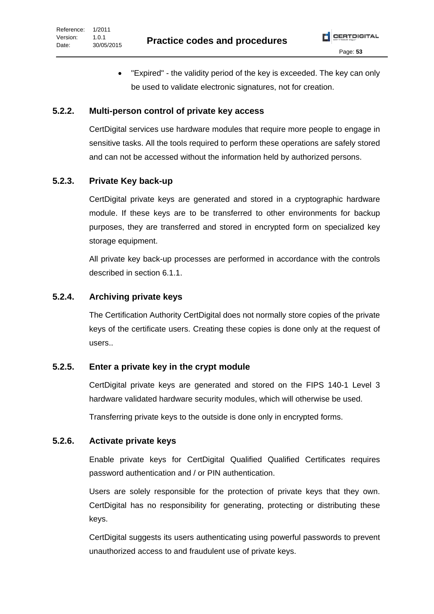• "Expired" - the validity period of the key is exceeded. The key can only be used to validate electronic signatures, not for creation.

## <span id="page-52-0"></span>**5.2.2. Multi-person control of private key access**

CertDigital services use hardware modules that require more people to engage in sensitive tasks. All the tools required to perform these operations are safely stored and can not be accessed without the information held by authorized persons.

## <span id="page-52-1"></span>**5.2.3. Private Key back-up**

CertDigital private keys are generated and stored in a cryptographic hardware module. If these keys are to be transferred to other environments for backup purposes, they are transferred and stored in encrypted form on specialized key storage equipment.

All private key back-up processes are performed in accordance with the controls described in section 6.1.1.

## <span id="page-52-2"></span>**5.2.4. Archiving private keys**

The Certification Authority CertDigital does not normally store copies of the private keys of the certificate users. Creating these copies is done only at the request of users..

## <span id="page-52-3"></span>**5.2.5. Enter a private key in the crypt module**

CertDigital private keys are generated and stored on the FIPS 140-1 Level 3 hardware validated hardware security modules, which will otherwise be used.

Transferring private keys to the outside is done only in encrypted forms.

## <span id="page-52-4"></span>**5.2.6. Activate private keys**

Enable private keys for CertDigital Qualified Qualified Certificates requires password authentication and / or PIN authentication.

Users are solely responsible for the protection of private keys that they own. CertDigital has no responsibility for generating, protecting or distributing these keys.

CertDigital suggests its users authenticating using powerful passwords to prevent unauthorized access to and fraudulent use of private keys.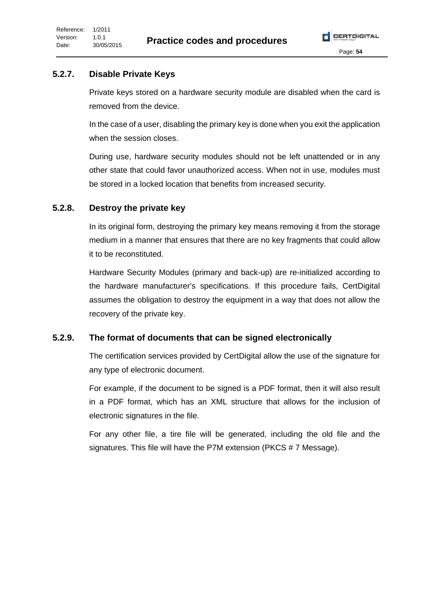#### <span id="page-53-0"></span>**5.2.7. Disable Private Keys**

Private keys stored on a hardware security module are disabled when the card is removed from the device.

In the case of a user, disabling the primary key is done when you exit the application when the session closes.

During use, hardware security modules should not be left unattended or in any other state that could favor unauthorized access. When not in use, modules must be stored in a locked location that benefits from increased security.

#### <span id="page-53-1"></span>**5.2.8. Destroy the private key**

In its original form, destroying the primary key means removing it from the storage medium in a manner that ensures that there are no key fragments that could allow it to be reconstituted.

Hardware Security Modules (primary and back-up) are re-initialized according to the hardware manufacturer's specifications. If this procedure fails, CertDigital assumes the obligation to destroy the equipment in a way that does not allow the recovery of the private key.

#### <span id="page-53-2"></span>**5.2.9. The format of documents that can be signed electronically**

The certification services provided by CertDigital allow the use of the signature for any type of electronic document.

For example, if the document to be signed is a PDF format, then it will also result in a PDF format, which has an XML structure that allows for the inclusion of electronic signatures in the file.

For any other file, a tire file will be generated, including the old file and the signatures. This file will have the P7M extension (PKCS # 7 Message).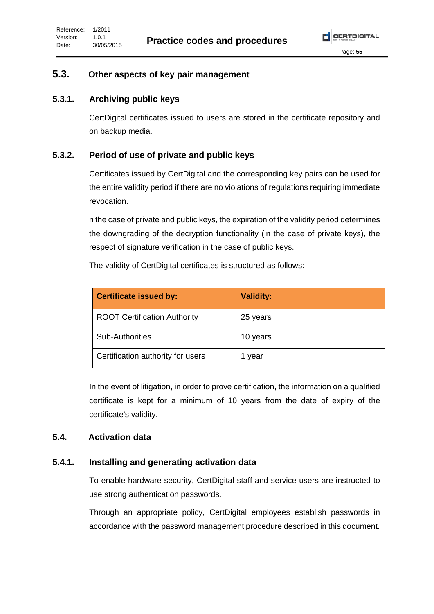## <span id="page-54-0"></span>**5.3. Other aspects of key pair management**

#### <span id="page-54-1"></span>**5.3.1. Archiving public keys**

CertDigital certificates issued to users are stored in the certificate repository and on backup media.

#### <span id="page-54-2"></span>**5.3.2. Period of use of private and public keys**

Certificates issued by CertDigital and the corresponding key pairs can be used for the entire validity period if there are no violations of regulations requiring immediate revocation.

n the case of private and public keys, the expiration of the validity period determines the downgrading of the decryption functionality (in the case of private keys), the respect of signature verification in the case of public keys.

The validity of CertDigital certificates is structured as follows:

| <b>Certificate issued by:</b>       | <b>Validity:</b> |
|-------------------------------------|------------------|
| <b>ROOT Certification Authority</b> | 25 years         |
| <b>Sub-Authorities</b>              | 10 years         |
| Certification authority for users   | 1 year           |

In the event of litigation, in order to prove certification, the information on a qualified certificate is kept for a minimum of 10 years from the date of expiry of the certificate's validity.

#### <span id="page-54-3"></span>**5.4. Activation data**

#### <span id="page-54-4"></span>**5.4.1. Installing and generating activation data**

To enable hardware security, CertDigital staff and service users are instructed to use strong authentication passwords.

Through an appropriate policy, CertDigital employees establish passwords in accordance with the password management procedure described in this document.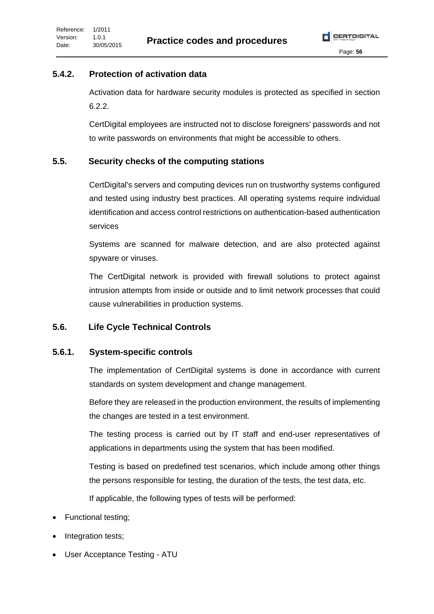#### <span id="page-55-0"></span>**5.4.2. Protection of activation data**

Activation data for hardware security modules is protected as specified in section 6.2.2.

CertDigital employees are instructed not to disclose foreigners' passwords and not to write passwords on environments that might be accessible to others.

#### <span id="page-55-1"></span>**5.5. Security checks of the computing stations**

CertDigital's servers and computing devices run on trustworthy systems configured and tested using industry best practices. All operating systems require individual identification and access control restrictions on authentication-based authentication services

Systems are scanned for malware detection, and are also protected against spyware or viruses.

The CertDigital network is provided with firewall solutions to protect against intrusion attempts from inside or outside and to limit network processes that could cause vulnerabilities in production systems.

#### <span id="page-55-2"></span>**5.6. Life Cycle Technical Controls**

#### <span id="page-55-3"></span>**5.6.1. System-specific controls**

The implementation of CertDigital systems is done in accordance with current standards on system development and change management.

Before they are released in the production environment, the results of implementing the changes are tested in a test environment.

The testing process is carried out by IT staff and end-user representatives of applications in departments using the system that has been modified.

Testing is based on predefined test scenarios, which include among other things the persons responsible for testing, the duration of the tests, the test data, etc.

If applicable, the following types of tests will be performed:

- Functional testing;
- Integration tests;
- User Acceptance Testing ATU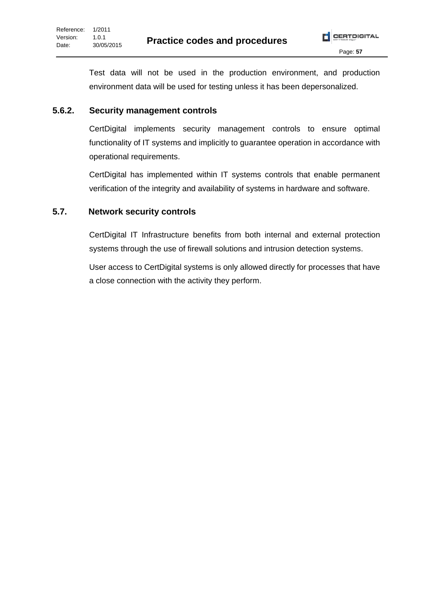Test data will not be used in the production environment, and production environment data will be used for testing unless it has been depersonalized.

#### <span id="page-56-0"></span>**5.6.2. Security management controls**

CertDigital implements security management controls to ensure optimal functionality of IT systems and implicitly to guarantee operation in accordance with operational requirements.

CertDigital has implemented within IT systems controls that enable permanent verification of the integrity and availability of systems in hardware and software.

#### <span id="page-56-1"></span>**5.7. Network security controls**

CertDigital IT Infrastructure benefits from both internal and external protection systems through the use of firewall solutions and intrusion detection systems.

User access to CertDigital systems is only allowed directly for processes that have a close connection with the activity they perform.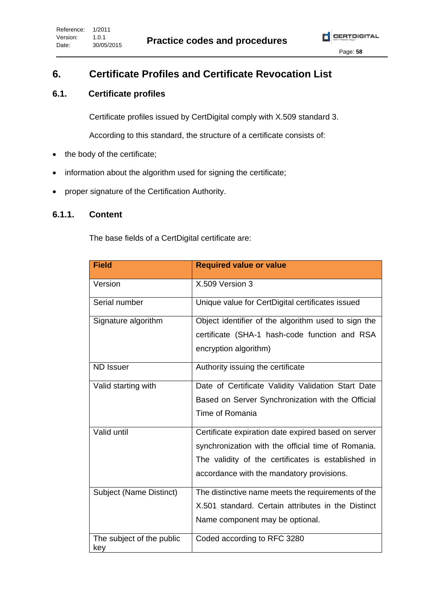## <span id="page-57-0"></span>**6. Certificate Profiles and Certificate Revocation List**

#### <span id="page-57-1"></span>**6.1. Certificate profiles**

Certificate profiles issued by CertDigital comply with X.509 standard 3.

According to this standard, the structure of a certificate consists of:

- the body of the certificate;
- information about the algorithm used for signing the certificate;
- proper signature of the Certification Authority.

#### <span id="page-57-2"></span>**6.1.1. Content**

The base fields of a CertDigital certificate are:

| <b>Field</b>                     | <b>Required value or value</b>                      |
|----------------------------------|-----------------------------------------------------|
| Version                          | X.509 Version 3                                     |
| Serial number                    | Unique value for CertDigital certificates issued    |
| Signature algorithm              | Object identifier of the algorithm used to sign the |
|                                  | certificate (SHA-1 hash-code function and RSA       |
|                                  | encryption algorithm)                               |
| <b>ND Issuer</b>                 | Authority issuing the certificate                   |
| Valid starting with              | Date of Certificate Validity Validation Start Date  |
|                                  | Based on Server Synchronization with the Official   |
|                                  | Time of Romania                                     |
| Valid until                      | Certificate expiration date expired based on server |
|                                  | synchronization with the official time of Romania.  |
|                                  | The validity of the certificates is established in  |
|                                  | accordance with the mandatory provisions.           |
| Subject (Name Distinct)          | The distinctive name meets the requirements of the  |
|                                  | X.501 standard. Certain attributes in the Distinct  |
|                                  | Name component may be optional.                     |
| The subject of the public<br>key | Coded according to RFC 3280                         |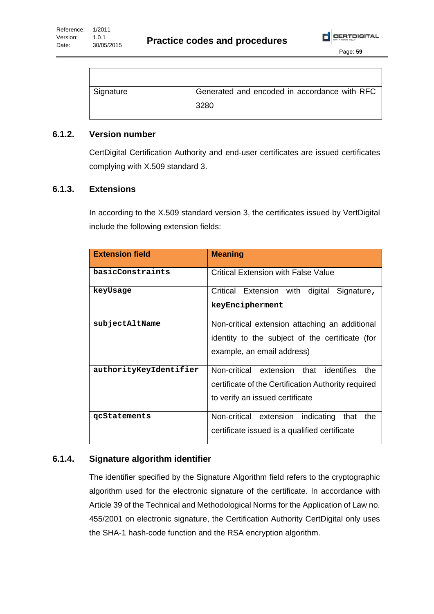

Page: **59**

| Signature | Generated and encoded in accordance with RFC |
|-----------|----------------------------------------------|
|           | 3280                                         |

#### <span id="page-58-0"></span>**6.1.2. Version number**

CertDigital Certification Authority and end-user certificates are issued certificates complying with X.509 standard 3.

#### <span id="page-58-1"></span>**6.1.3. Extensions**

In according to the X.509 standard version 3, the certificates issued by VertDigital include the following extension fields:

| <b>Extension field</b> | <b>Meaning</b>                                                                                                                             |
|------------------------|--------------------------------------------------------------------------------------------------------------------------------------------|
| basicConstraints       | <b>Critical Extension with False Value</b>                                                                                                 |
| keyUsage               | Critical Extension with<br>digital Signature,<br>keyEncipherment                                                                           |
| subjectAltName         | Non-critical extension attaching an additional<br>identity to the subject of the certificate (for<br>example, an email address)            |
| authorityKeyIdentifier | Non-critical extension<br>that identifies<br>the<br>certificate of the Certification Authority required<br>to verify an issued certificate |
| gcStatements           | Non-critical extension<br>indicating<br>that<br>the<br>certificate issued is a qualified certificate                                       |

#### <span id="page-58-2"></span>**6.1.4. Signature algorithm identifier**

The identifier specified by the Signature Algorithm field refers to the cryptographic algorithm used for the electronic signature of the certificate. In accordance with Article 39 of the Technical and Methodological Norms for the Application of Law no. 455/2001 on electronic signature, the Certification Authority CertDigital only uses the SHA-1 hash-code function and the RSA encryption algorithm.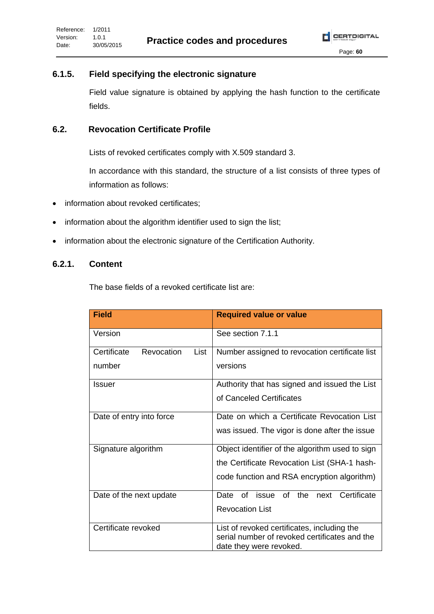

#### <span id="page-59-0"></span>**6.1.5. Field specifying the electronic signature**

Field value signature is obtained by applying the hash function to the certificate fields.

#### <span id="page-59-1"></span>**6.2. Revocation Certificate Profile**

Lists of revoked certificates comply with X.509 standard 3.

In accordance with this standard, the structure of a list consists of three types of information as follows:

- information about revoked certificates;
- information about the algorithm identifier used to sign the list;
- information about the electronic signature of the Certification Authority.

#### <span id="page-59-2"></span>**6.2.1. Content**

The base fields of a revoked certificate list are:

| <b>Field</b>                      | <b>Required value or value</b>                                                               |
|-----------------------------------|----------------------------------------------------------------------------------------------|
| Version                           | See section 7.1.1                                                                            |
| Revocation<br>Certificate<br>List | Number assigned to revocation certificate list                                               |
| number                            | versions                                                                                     |
| Issuer                            | Authority that has signed and issued the List                                                |
|                                   | of Canceled Certificates                                                                     |
| Date of entry into force          | Date on which a Certificate Revocation List                                                  |
|                                   | was issued. The vigor is done after the issue                                                |
| Signature algorithm               | Object identifier of the algorithm used to sign                                              |
|                                   | the Certificate Revocation List (SHA-1 hash-                                                 |
|                                   | code function and RSA encryption algorithm)                                                  |
| Date of the next update           | the<br>Certificate<br>Date<br>Ωf<br>issue<br>Ωf<br>next                                      |
|                                   | <b>Revocation List</b>                                                                       |
| Certificate revoked               | List of revoked certificates, including the<br>serial number of revoked certificates and the |
|                                   | date they were revoked.                                                                      |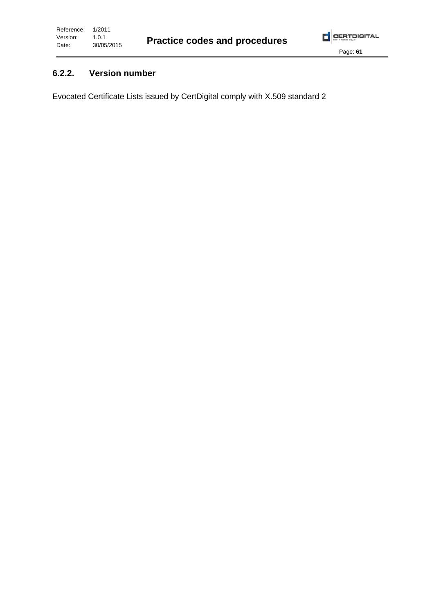## <span id="page-60-0"></span>**6.2.2. Version number**

Evocated Certificate Lists issued by CertDigital comply with X.509 standard 2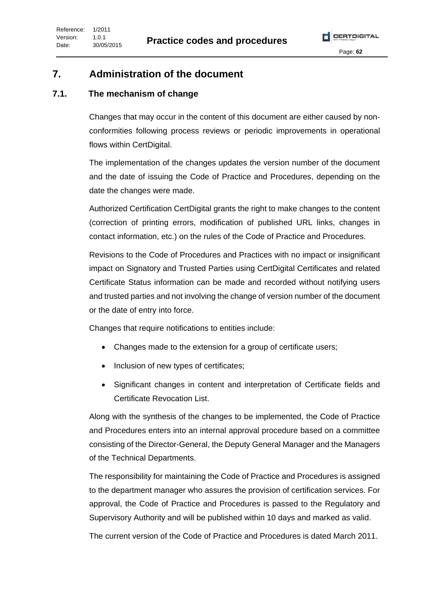## <span id="page-61-0"></span>**7. Administration of the document**

#### <span id="page-61-1"></span>**7.1. The mechanism of change**

Changes that may occur in the content of this document are either caused by nonconformities following process reviews or periodic improvements in operational flows within CertDigital.

The implementation of the changes updates the version number of the document and the date of issuing the Code of Practice and Procedures, depending on the date the changes were made.

Authorized Certification CertDigital grants the right to make changes to the content (correction of printing errors, modification of published URL links, changes in contact information, etc.) on the rules of the Code of Practice and Procedures.

Revisions to the Code of Procedures and Practices with no impact or insignificant impact on Signatory and Trusted Parties using CertDigital Certificates and related Certificate Status information can be made and recorded without notifying users and trusted parties and not involving the change of version number of the document or the date of entry into force.

Changes that require notifications to entities include:

- Changes made to the extension for a group of certificate users;
- Inclusion of new types of certificates;
- Significant changes in content and interpretation of Certificate fields and Certificate Revocation List.

Along with the synthesis of the changes to be implemented, the Code of Practice and Procedures enters into an internal approval procedure based on a committee consisting of the Director-General, the Deputy General Manager and the Managers of the Technical Departments.

The responsibility for maintaining the Code of Practice and Procedures is assigned to the department manager who assures the provision of certification services. For approval, the Code of Practice and Procedures is passed to the Regulatory and Supervisory Authority and will be published within 10 days and marked as valid.

The current version of the Code of Practice and Procedures is dated March 2011.